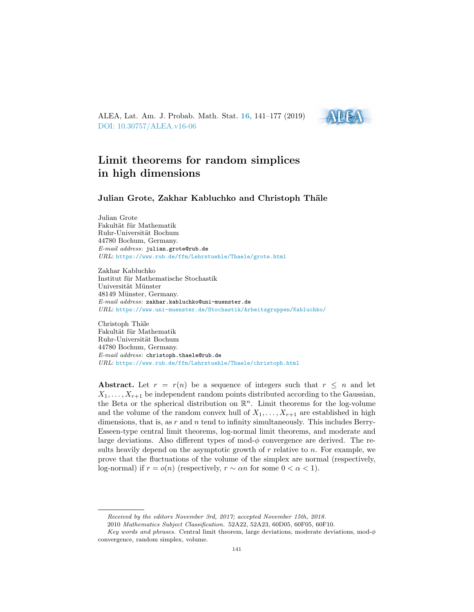<span id="page-0-0"></span>ALEA, Lat. Am. J. Probab. Math. Stat. [16](http://alea.impa.br/english/index_v16.htm), 141–177 (2019) [DOI: 10.30757/ALEA.v16-06](https://doi.org/10.30757/ALEA.v16-06)



# Limit theorems for random simplices in high dimensions

Julian Grote, Zakhar Kabluchko and Christoph Thäle

Julian Grote Fakultät für Mathematik Ruhr-Universität Bochum 44780 Bochum, Germany. E-mail address: julian.grote@rub.de URL: <https://www.rub.de/ffm/Lehrstuehle/Thaele/grote.html>

Zakhar Kabluchko Institut für Mathematische Stochastik Universität Münster 48149 Münster, Germany. E-mail address: zakhar.kabluchko@uni-muenster.de URL: <https://www.uni-muenster.de/Stochastik/Arbeitsgruppen/Kabluchko/>

Christoph Thäle Fakultät für Mathematik Ruhr-Universität Bochum 44780 Bochum, Germany. E-mail address: christoph.thaele@rub.de URL: <https://www.rub.de/ffm/Lehrstuehle/Thaele/christoph.html>

Abstract. Let  $r = r(n)$  be a sequence of integers such that  $r \leq n$  and let  $X_1, \ldots, X_{r+1}$  be independent random points distributed according to the Gaussian, the Beta or the spherical distribution on  $\mathbb{R}^n$ . Limit theorems for the log-volume and the volume of the random convex hull of  $X_1, \ldots, X_{r+1}$  are established in high dimensions, that is, as  $r$  and  $n$  tend to infinity simultaneously. This includes Berry-Esseen-type central limit theorems, log-normal limit theorems, and moderate and large deviations. Also different types of mod- $\phi$  convergence are derived. The results heavily depend on the asymptotic growth of  $r$  relative to  $n$ . For example, we prove that the fluctuations of the volume of the simplex are normal (respectively, log-normal) if  $r = o(n)$  (respectively,  $r \sim \alpha n$  for some  $0 < \alpha < 1$ ).

Received by the editors November 3rd, 2017; accepted November 15th, 2018.

<sup>2010</sup> Mathematics Subject Classification. 52A22, 52A23, 60D05, 60F05, 60F10.

Key words and phrases. Central limit theorem, large deviations, moderate deviations, mod- $\phi$ convergence, random simplex, volume.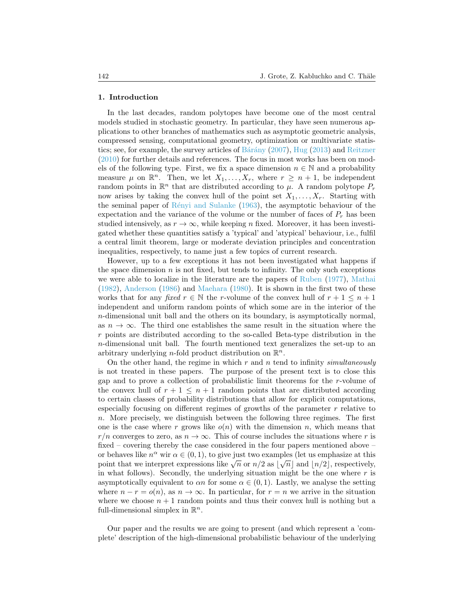#### 1. Introduction

In the last decades, random polytopes have become one of the most central models studied in stochastic geometry. In particular, they have seen numerous applications to other branches of mathematics such as asymptotic geometric analysis, compressed sensing, computational geometry, optimization or multivariate statistics; see, for example, the survey articles of Bárány  $(2007)$ , [Hug](#page-35-0)  $(2013)$  and [Reitzner](#page-35-1) [\(2010\)](#page-35-1) for further details and references. The focus in most works has been on models of the following type. First, we fix a space dimension  $n \in \mathbb{N}$  and a probability measure  $\mu$  on  $\mathbb{R}^n$ . Then, we let  $X_1, \ldots, X_r$ , where  $r \geq n+1$ , be independent random points in  $\mathbb{R}^n$  that are distributed according to  $\mu$ . A random polytope  $P_r$ now arises by taking the convex hull of the point set  $X_1, \ldots, X_r$ . Starting with the seminal paper of  $\hat{R}$ ényi and Sulanke [\(1963\)](#page-35-2), the asymptotic behaviour of the expectation and the variance of the volume or the number of faces of  $P_r$  has been studied intensively, as  $r \to \infty$ , while keeping n fixed. Moreover, it has been investigated whether these quantities satisfy a 'typical' and 'atypical' behaviour, i.e., fulfil a central limit theorem, large or moderate deviation principles and concentration inequalities, respectively, to name just a few topics of current research.

However, up to a few exceptions it has not been investigated what happens if the space dimension  $n$  is not fixed, but tends to infinity. The only such exceptions we were able to localize in the literature are the papers of [Ruben](#page-35-3) [\(1977\)](#page-35-3), [Mathai](#page-35-4) [\(1982\)](#page-35-4), [Anderson](#page-34-1) [\(1986\)](#page-34-1) and [Maehara](#page-35-5) [\(1980\)](#page-35-5). It is shown in the first two of these works that for any fixed  $r \in \mathbb{N}$  the r-volume of the convex hull of  $r + 1 \leq n + 1$ independent and uniform random points of which some are in the interior of the n-dimensional unit ball and the others on its boundary, is asymptotically normal, as  $n \to \infty$ . The third one establishes the same result in the situation where the r points are distributed according to the so-called Beta-type distribution in the n-dimensional unit ball. The fourth mentioned text generalizes the set-up to an arbitrary underlying *n*-fold product distribution on  $\mathbb{R}^n$ .

On the other hand, the regime in which  $r$  and  $n$  tend to infinity simultaneously is not treated in these papers. The purpose of the present text is to close this gap and to prove a collection of probabilistic limit theorems for the r-volume of the convex hull of  $r + 1 \leq n + 1$  random points that are distributed according to certain classes of probability distributions that allow for explicit computations, especially focusing on different regimes of growths of the parameter  $r$  relative to n. More precisely, we distinguish between the following three regimes. The first one is the case where r grows like  $o(n)$  with the dimension n, which means that  $r/n$  converges to zero, as  $n \to \infty$ . This of course includes the situations where r is fixed – covering thereby the case considered in the four papers mentioned above – or behaves like  $n^{\alpha}$  wir  $\alpha \in (0, 1)$ , to give just two examples (let us emphasize at this behaves like *n* wh  $\alpha \in (0, 1)$ , to give just two examples (let us emphasize at this point that we interpret expressions like  $\sqrt{n}$  or  $n/2$  as  $|\sqrt{n}|$  and  $|n/2|$ , respectively, in what follows). Secondly, the underlying situation might be the one where  $r$  is asymptotically equivalent to  $\alpha n$  for some  $\alpha \in (0,1)$ . Lastly, we analyse the setting where  $n - r = o(n)$ , as  $n \to \infty$ . In particular, for  $r = n$  we arrive in the situation where we choose  $n + 1$  random points and thus their convex hull is nothing but a full-dimensional simplex in  $\mathbb{R}^n$ .

Our paper and the results we are going to present (and which represent a 'complete' description of the high-dimensional probabilistic behaviour of the underlying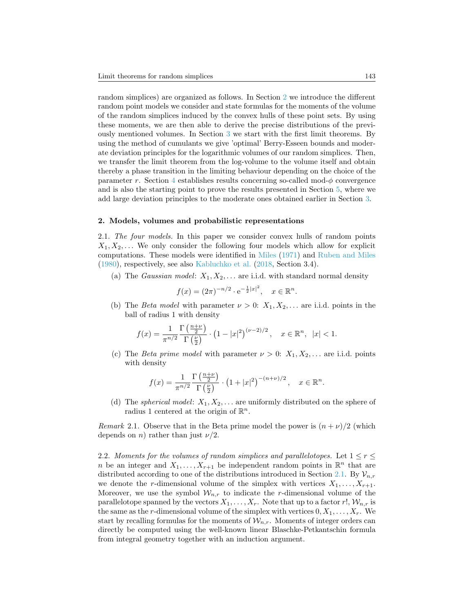random simplices) are organized as follows. In Section [2](#page-2-0) we introduce the different random point models we consider and state formulas for the moments of the volume of the random simplices induced by the convex hulls of these point sets. By using these moments, we are then able to derive the precise distributions of the previously mentioned volumes. In Section [3](#page-8-0) we start with the first limit theorems. By using the method of cumulants we give 'optimal' Berry-Esseen bounds and moderate deviation principles for the logarithmic volumes of our random simplices. Then, we transfer the limit theorem from the log-volume to the volume itself and obtain thereby a phase transition in the limiting behaviour depending on the choice of the parameter r. Section [4](#page-19-0) establishes results concerning so-called mod- $\phi$  convergence and is also the starting point to prove the results presented in Section [5,](#page-29-0) where we add large deviation principles to the moderate ones obtained earlier in Section [3.](#page-8-0)

# <span id="page-2-0"></span>2. Models, volumes and probabilistic representations

<span id="page-2-1"></span>2.1. The four models. In this paper we consider convex hulls of random points  $X_1, X_2, \ldots$  We only consider the following four models which allow for explicit computations. These models were identified in [Miles](#page-35-6) [\(1971\)](#page-35-6) and [Ruben and Miles](#page-36-0) [\(1980\)](#page-36-0), respectively, see also [Kabluchko et al.](#page-35-7) [\(2018,](#page-35-7) Section 3.4).

(a) The *Gaussian model*:  $X_1, X_2, \ldots$  are i.i.d. with standard normal density

$$
f(x) = (2\pi)^{-n/2} \cdot e^{-\frac{1}{2}|x|^2}, \quad x \in \mathbb{R}^n.
$$

(b) The *Beta model* with parameter  $\nu > 0$ :  $X_1, X_2, \ldots$  are i.i.d. points in the ball of radius 1 with density

$$
f(x) = \frac{1}{\pi^{n/2}} \frac{\Gamma\left(\frac{n+\nu}{2}\right)}{\Gamma\left(\frac{\nu}{2}\right)} \cdot \left(1 - |x|^2\right)^{(\nu-2)/2}, \quad x \in \mathbb{R}^n, \ |x| < 1.
$$

(c) The *Beta prime model* with parameter  $\nu > 0$ :  $X_1, X_2, \ldots$  are i.i.d. points with density

$$
f(x) = \frac{1}{\pi^{n/2}} \frac{\Gamma\left(\frac{n+\nu}{2}\right)}{\Gamma\left(\frac{\nu}{2}\right)} \cdot \left(1 + |x|^2\right)^{-(n+\nu)/2}, \quad x \in \mathbb{R}^n.
$$

(d) The *spherical model*:  $X_1, X_2, \ldots$  are uniformly distributed on the sphere of radius 1 centered at the origin of  $\mathbb{R}^n$ .

*Remark* 2.1. Observe that in the Beta prime model the power is  $(n + \nu)/2$  (which depends on *n*) rather than just  $\nu/2$ .

2.2. Moments for the volumes of random simplices and parallelotopes. Let  $1 \leq r \leq$ n be an integer and  $X_1, \ldots, X_{r+1}$  be independent random points in  $\mathbb{R}^n$  that are distributed according to one of the distributions introduced in Section [2.1.](#page-2-1) By  $\mathcal{V}_{n,r}$ we denote the r-dimensional volume of the simplex with vertices  $X_1, \ldots, X_{r+1}$ . Moreover, we use the symbol  $W_{n,r}$  to indicate the r-dimensional volume of the parallelotope spanned by the vectors  $X_1, \ldots, X_r$ . Note that up to a factor r!,  $\mathcal{W}_{n,r}$  is the same as the r-dimensional volume of the simplex with vertices  $0, X_1, \ldots, X_r$ . We start by recalling formulas for the moments of  $\mathcal{W}_{n,r}$ . Moments of integer orders can directly be computed using the well-known linear Blaschke-Petkantschin formula from integral geometry together with an induction argument.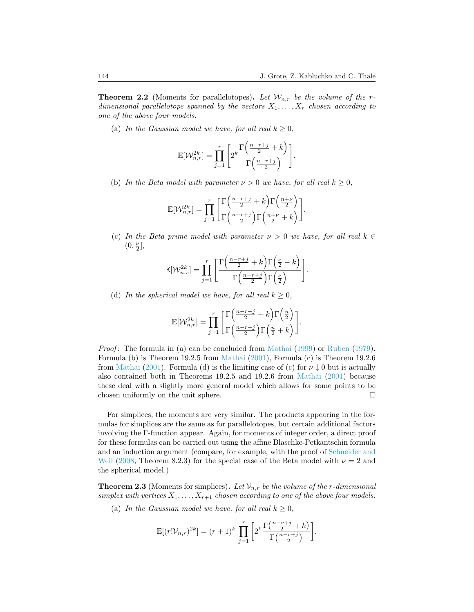<span id="page-3-0"></span>**Theorem 2.2** (Moments for parallelotopes). Let  $\mathcal{W}_{n,r}$  be the volume of the rdimensional parallelotope spanned by the vectors  $X_1, \ldots, X_r$  chosen according to one of the above four models.

(a) In the Gaussian model we have, for all real  $k \geq 0$ ,

$$
\mathbb{E}[\mathcal{W}_{n,r}^{2k}]=\prod_{j=1}^r\Bigg[2^k\frac{\Gamma\Big(\frac{n-r+j}{2}+k\Big)}{\Gamma\Big(\frac{n-r+j}{2}\Big)}\Bigg].
$$

(b) In the Beta model with parameter  $\nu > 0$  we have, for all real  $k \geq 0$ ,

$$
\mathbb{E}[\mathcal{W}_{n,r}^{2k}] = \prod_{j=1}^r \left[ \frac{\Gamma\left(\frac{n-r+j}{2} + k\right) \Gamma\left(\frac{n+\nu}{2}\right)}{\Gamma\left(\frac{n-r+j}{2}\right) \Gamma\left(\frac{n+\nu}{2} + k\right)} \right].
$$

(c) In the Beta prime model with parameter  $\nu > 0$  we have, for all real  $k \in$  $(0, \frac{\nu}{2}],$ 

$$
\mathbb{E}[\mathcal{W}_{n,r}^{2k}]=\prod_{j=1}^r\Bigg[\frac{\Gamma\Big(\frac{n-r+j}{2}+k\Big)\Gamma\Big(\frac{\nu}{2}-k\Big)}{\Gamma\Big(\frac{n-r+j}{2}\Big)\Gamma\Big(\frac{\nu}{2}\Big)}\Bigg].
$$

(d) In the spherical model we have, for all real  $k > 0$ ,

$$
\mathbb{E}[\mathcal{W}_{n,r}^{2k}] = \prod_{j=1}^r \left[ \frac{\Gamma\left(\frac{n-r+j}{2} + k\right) \Gamma\left(\frac{n}{2}\right)}{\Gamma\left(\frac{n-r+j}{2}\right) \Gamma\left(\frac{n}{2} + k\right)} \right].
$$

Proof: The formula in (a) can be concluded from [Mathai](#page-35-8) [\(1999\)](#page-35-8) or [Ruben](#page-36-1) [\(1979\)](#page-36-1). Formula (b) is Theorem 19.2.5 from [Mathai](#page-35-9) [\(2001\)](#page-35-9), Formula (c) is Theorem 19.2.6 from [Mathai](#page-35-9) [\(2001\)](#page-35-9). Formula (d) is the limiting case of (c) for  $\nu \downarrow 0$  but is actually also contained both in Theorems 19.2.5 and 19.2.6 from [Mathai](#page-35-9) [\(2001\)](#page-35-9) because these deal with a slightly more general model which allows for some points to be chosen uniformly on the unit sphere.  $\Box$ 

For simplices, the moments are very similar. The products appearing in the formulas for simplices are the same as for parallelotopes, but certain additional factors involving the Γ-function appear. Again, for moments of integer order, a direct proof for these formulas can be carried out using the affine Blaschke-Petkantschin formula and an induction argument (compare, for example, with the proof of [Schneider and](#page-36-2) [Weil](#page-36-2) [\(2008,](#page-36-2) Theorem 8.2.3) for the special case of the Beta model with  $\nu = 2$  and the spherical model.)

<span id="page-3-1"></span>**Theorem 2.3** (Moments for simplices). Let  $V_{n,r}$  be the volume of the r-dimensional simplex with vertices  $X_1, \ldots, X_{r+1}$  chosen according to one of the above four models.

(a) In the Gaussian model we have, for all real  $k \geq 0$ ,

$$
\mathbb{E}[(r!\mathcal{V}_{n,r})^{2k}] = (r+1)^k \prod_{j=1}^r \left[ 2^k \frac{\Gamma\left(\frac{n-r+j}{2}+k\right)}{\Gamma\left(\frac{n-r+j}{2}\right)} \right].
$$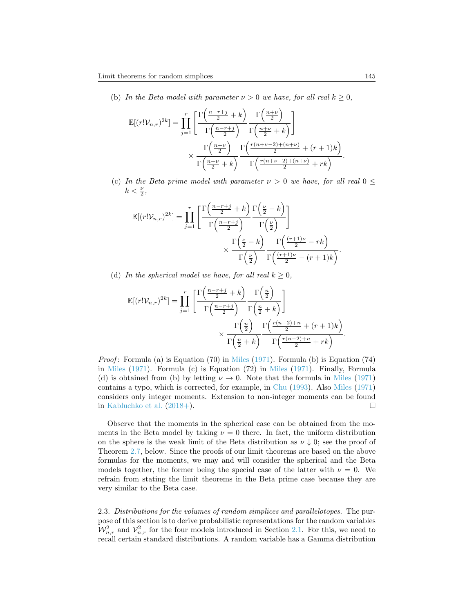(b) In the Beta model with parameter  $\nu > 0$  we have, for all real  $k \geq 0$ ,

$$
\mathbb{E}[(r! \mathcal{V}_{n,r})^{2k}] = \prod_{j=1}^{r} \left[ \frac{\Gamma\left(\frac{n-r+j}{2} + k\right)}{\Gamma\left(\frac{n-r+j}{2}\right)} \frac{\Gamma\left(\frac{n+\nu}{2}\right)}{\Gamma\left(\frac{n+\nu}{2} + k\right)} \right] \times \frac{\Gamma\left(\frac{n+\nu}{2}\right)}{\Gamma\left(\frac{n+\nu}{2} + k\right)} \frac{\Gamma\left(\frac{r(n+\nu-2)+(n+\nu)}{2} + (r+1)k\right)}{\Gamma\left(\frac{n+\nu}{2} + k\right)}.
$$

(c) In the Beta prime model with parameter  $\nu > 0$  we have, for all real  $0 \leq$  $k < \frac{\nu}{2}$ ,

$$
\mathbb{E}[(r! \mathcal{V}_{n,r})^{2k}] = \prod_{j=1}^{r} \left[ \frac{\Gamma\left(\frac{n-r+j}{2} + k\right)}{\Gamma\left(\frac{n-r+j}{2}\right)} \frac{\Gamma\left(\frac{\nu}{2} - k\right)}{\Gamma\left(\frac{\nu}{2}\right)} \right] \times \frac{\Gamma\left(\frac{\nu}{2} - k\right)}{\Gamma\left(\frac{\nu}{2}\right)} \frac{\Gamma\left(\frac{(r+1)\nu}{2} - rk\right)}{\Gamma\left(\frac{\nu}{2}\right)} \frac{\Gamma\left(\frac{(r+1)\nu}{2} - (r+1)k\right)}{\Gamma\left(\frac{(r+1)\nu}{2} - (r+1)k\right)}.
$$

(d) In the spherical model we have, for all real  $k \geq 0$ ,

$$
\mathbb{E}[(r! \mathcal{V}_{n,r})^{2k}] = \prod_{j=1}^{r} \left[ \frac{\Gamma\left(\frac{n-r+j}{2} + k\right)}{\Gamma\left(\frac{n-r+j}{2}\right)} \frac{\Gamma\left(\frac{n}{2}\right)}{\Gamma\left(\frac{n}{2} + k\right)} \right] \times \frac{\Gamma\left(\frac{n}{2}\right)}{\Gamma\left(\frac{n}{2} + k\right)} \frac{\Gamma\left(\frac{r(n-2)+n}{2} + (r+1)k\right)}{\Gamma\left(\frac{r(n-2)+n}{2} + rk\right)}.
$$

*Proof*: Formula (a) is Equation (70) in [Miles](#page-35-6) [\(1971\)](#page-35-6). Formula (b) is Equation (74) in [Miles](#page-35-6) [\(1971\)](#page-35-6). Formula (c) is Equation (72) in [Miles](#page-35-6) [\(1971\)](#page-35-6). Finally, Formula (d) is obtained from (b) by letting  $\nu \to 0$ . Note that the formula in [Miles](#page-35-6) [\(1971\)](#page-35-6) contains a typo, which is corrected, for example, in [Chu](#page-34-2) [\(1993\)](#page-34-2). Also [Miles](#page-35-6) [\(1971\)](#page-35-6) considers only integer moments. Extension to non-integer moments can be found in [Kabluchko et al.](#page-35-10)  $(2018+)$ .

Observe that the moments in the spherical case can be obtained from the moments in the Beta model by taking  $\nu = 0$  there. In fact, the uniform distribution on the sphere is the weak limit of the Beta distribution as  $\nu \downarrow 0$ ; see the proof of Theorem [2.7,](#page-8-1) below. Since the proofs of our limit theorems are based on the above formulas for the moments, we may and will consider the spherical and the Beta models together, the former being the special case of the latter with  $\nu = 0$ . We refrain from stating the limit theorems in the Beta prime case because they are very similar to the Beta case.

2.3. Distributions for the volumes of random simplices and parallelotopes. The purpose of this section is to derive probabilistic representations for the random variables  $\mathcal{W}_{n,r}^2$  and  $\mathcal{V}_{n,r}^2$  for the four models introduced in Section [2.1.](#page-2-1) For this, we need to recall certain standard distributions. A random variable has a Gamma distribution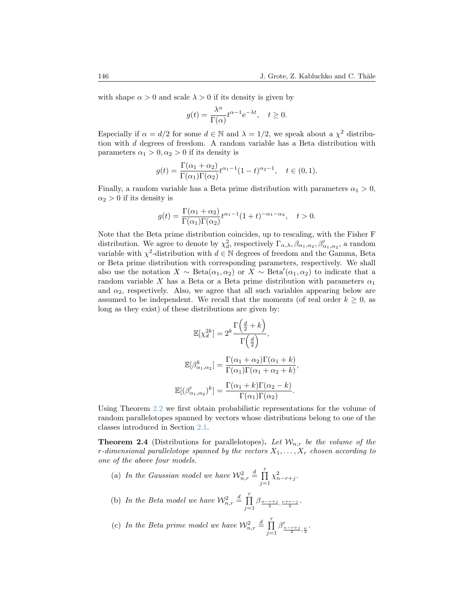with shape  $\alpha > 0$  and scale  $\lambda > 0$  if its density is given by

$$
g(t) = \frac{\lambda^{\alpha}}{\Gamma(\alpha)} t^{\alpha - 1} e^{-\lambda t}, \quad t \ge 0.
$$

Especially if  $\alpha = d/2$  for some  $d \in \mathbb{N}$  and  $\lambda = 1/2$ , we speak about a  $\chi^2$  distribution with d degrees of freedom. A random variable has a Beta distribution with parameters  $\alpha_1 > 0, \alpha_2 > 0$  if its density is

$$
g(t) = \frac{\Gamma(\alpha_1 + \alpha_2)}{\Gamma(\alpha_1)\Gamma(\alpha_2)} t^{\alpha_1 - 1} (1 - t)^{\alpha_2 - 1}, \quad t \in (0, 1).
$$

Finally, a random variable has a Beta prime distribution with parameters  $\alpha_1 > 0$ ,  $\alpha_2 > 0$  if its density is

$$
g(t) = \frac{\Gamma(\alpha_1 + \alpha_2)}{\Gamma(\alpha_1)\Gamma(\alpha_2)} t^{\alpha_1 - 1} (1 + t)^{-\alpha_1 - \alpha_2}, \quad t > 0.
$$

Note that the Beta prime distribution coincides, up to rescaling, with the Fisher F distribution. We agree to denote by  $\chi_d^2$ , respectively  $\Gamma_{\alpha,\lambda}, \beta_{\alpha_1,\alpha_2}, \beta'_{\alpha_1,\alpha_2}$ , a random variable with  $\chi^2$ -distribution with  $d \in \mathbb{N}$  degrees of freedom and the Gamma, Beta or Beta prime distribution with corresponding parameters, respectively. We shall also use the notation  $X \sim \text{Beta}(\alpha_1, \alpha_2)$  or  $X \sim \text{Beta}'(\alpha_1, \alpha_2)$  to indicate that a random variable X has a Beta or a Beta prime distribution with parameters  $\alpha_1$ and  $\alpha_2$ , respectively. Also, we agree that all such variables appearing below are assumed to be independent. We recall that the moments (of real order  $k \geq 0$ , as long as they exist) of these distributions are given by:

$$
\mathbb{E}[\chi_d^{2k}] = 2^k \frac{\Gamma\left(\frac{d}{2} + k\right)}{\Gamma\left(\frac{d}{2}\right)},
$$

$$
\mathbb{E}[\beta^k_{\alpha_1, \alpha_2}] = \frac{\Gamma(\alpha_1 + \alpha_2)\Gamma(\alpha_1 + k)}{\Gamma(\alpha_1)\Gamma(\alpha_1 + \alpha_2 + k)}
$$

$$
\mathbb{E}[(\beta'_{\alpha_1, \alpha_2})^k] = \frac{\Gamma(\alpha_1 + k)\Gamma(\alpha_2 - k)}{\Gamma(\alpha_1)\Gamma(\alpha_2)}.
$$

,

Using Theorem [2.2](#page-3-0) we first obtain probabilistic representations for the volume of random parallelotopes spanned by vectors whose distributions belong to one of the classes introduced in Section [2.1.](#page-2-1)

**Theorem 2.4** (Distributions for parallelotopes). Let  $W_{n,r}$  be the volume of the r-dimensional parallelotope spanned by the vectors  $X_1, \ldots, X_r$  chosen according to one of the above four models.

- (a) In the Gaussian model we have  $\mathcal{W}_{n,r}^2 \stackrel{d}{=} \prod^r$  $j=1$  $\chi^2_{n-r+j}$ .
- (b) In the Beta model we have  $\mathcal{W}_{n,r}^2 \stackrel{d}{=} \prod^r$  $j=1$  $\frac{\beta_{\frac{n-r+j}{2},\frac{\nu+r-j}{2}}.}$
- (c) In the Beta prime model we have  $\mathcal{W}_{n,r}^2 \stackrel{d}{=} \prod^r$  $j=1$  $\beta'_{\frac{n-r+j}{2},\frac{\nu}{2}}.$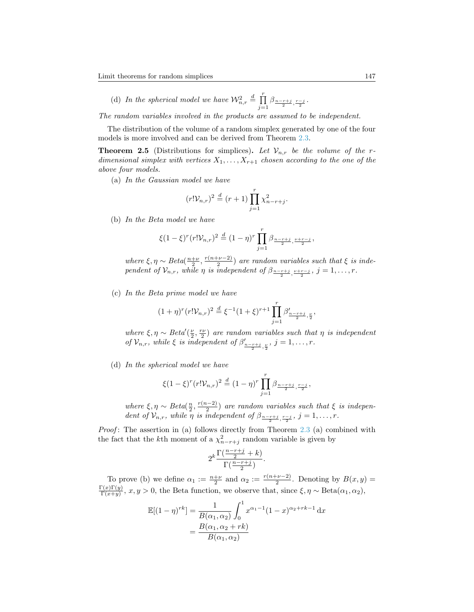(d) In the spherical model we have  $\mathcal{W}_{n,r}^2 \stackrel{d}{=} \prod^r$  $j=1$  $\beta_{\frac{n-r+j}{2},\frac{r-j}{2}}.$ 

The random variables involved in the products are assumed to be independent.

The distribution of the volume of a random simplex generated by one of the four models is more involved and can be derived from Theorem [2.3.](#page-3-1)

<span id="page-6-0"></span>**Theorem 2.5** (Distributions for simplices). Let  $V_{n,r}$  be the volume of the rdimensional simplex with vertices  $X_1, \ldots, X_{r+1}$  chosen according to the one of the above four models.

(a) In the Gaussian model we have

$$
(r! \mathcal{V}_{n,r})^2 \stackrel{d}{=} (r+1) \prod_{j=1}^r \chi^2_{n-r+j}.
$$

(b) In the Beta model we have

$$
\xi(1-\xi)^r (r! \mathcal{V}_{n,r})^2 \stackrel{d}{=} (1-\eta)^r \prod_{j=1}^r \beta_{\frac{n-r+j}{2}, \frac{\nu+r-j}{2}},
$$

where  $\xi, \eta \sim Beta(\frac{n+\nu}{2}, \frac{r(n+\nu-2)}{2})$  $\frac{2^{D-2}}{2}$ ) are random variables such that  $\xi$  is independent of  $\mathcal{V}_{n,r}$ , while  $\eta$  is independent of  $\beta_{\frac{n-r+j}{2},\frac{\nu+r-j}{2}}$ ,  $j=1,\ldots,r$ .

(c) In the Beta prime model we have

$$
(1+\eta)^r (r! \mathcal{V}_{n,r})^2 \stackrel{d}{=} \xi^{-1} (1+\xi)^{r+1} \prod_{j=1}^r \beta'_{\frac{n-r+j}{2},\frac{\nu}{2}},
$$

where  $\xi, \eta \sim Beta'(\frac{\nu}{2}, \frac{rv}{2})$  are random variables such that  $\eta$  is independent of  $\mathcal{V}_{n,r}$ , while  $\xi$  is independent of  $\beta'_{\frac{n-r+j}{2},\frac{\nu}{2}}$ ,  $j=1,\ldots,r$ .

(d) In the spherical model we have

$$
\xi(1-\xi)^r (r! \mathcal{V}_{n,r})^2 \stackrel{d}{=} (1-\eta)^r \prod_{j=1}^r \beta_{\frac{n-r+j}{2}, \frac{r-j}{2}},
$$

where  $\xi, \eta \sim Beta(\frac{n}{2}, \frac{r(n-2)}{2})$  $\frac{(n-2)}{2}$ ) are random variables such that  $\xi$  is independent of  $\mathcal{V}_{n,r}$ , while  $\eta$  is independent of  $\beta_{\frac{n-r+j}{2},\frac{r-j}{2}}$ ,  $j=1,\ldots,r$ .

*Proof*: The assertion in (a) follows directly from Theorem  $2.3$  (a) combined with the fact that the k<sup>th</sup> moment of a  $\chi^2_{n-r+j}$  random variable is given by

$$
2^k \frac{\Gamma(\frac{n-r+j}{2}+k)}{\Gamma(\frac{n-r+j}{2})}.
$$

To prove (b) we define  $\alpha_1 := \frac{n+\nu}{2}$  and  $\alpha_2 := \frac{r(n+\nu-2)}{2}$  $\frac{-\nu-2}{2}$ . Denoting by  $B(x, y) =$  $\Gamma(x)\Gamma(y)$  $\frac{\Gamma(x)\Gamma(y)}{\Gamma(x+y)}, x, y > 0$ , the Beta function, we observe that, since  $\xi, \eta \sim \text{Beta}(\alpha_1, \alpha_2),$ 

$$
\mathbb{E}[(1-\eta)^{rk}] = \frac{1}{B(\alpha_1, \alpha_2)} \int_0^1 x^{\alpha_1 - 1} (1-x)^{\alpha_2 + rk - 1} dx
$$

$$
= \frac{B(\alpha_1, \alpha_2 + rk)}{B(\alpha_1, \alpha_2)}
$$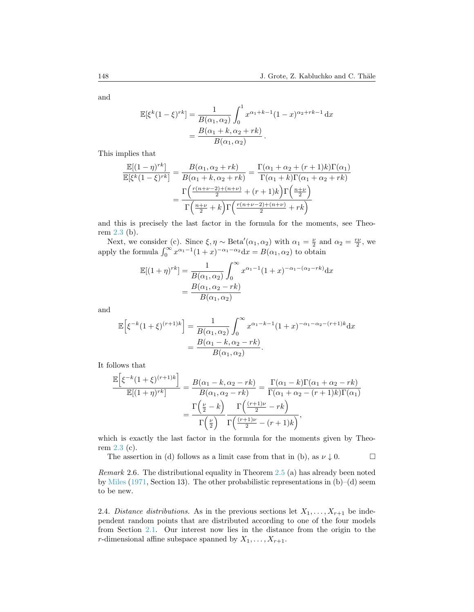and

$$
\mathbb{E}[\xi^{k}(1-\xi)^{rk}] = \frac{1}{B(\alpha_1, \alpha_2)} \int_0^1 x^{\alpha_1 + k - 1} (1 - x)^{\alpha_2 + rk - 1} dx
$$
  
= 
$$
\frac{B(\alpha_1 + k, \alpha_2 + rk)}{B(\alpha_1, \alpha_2)}.
$$

This implies that

$$
\frac{\mathbb{E}[(1-\eta)^{rk}]}{\mathbb{E}[\xi^k(1-\xi)^{rk}]} = \frac{B(\alpha_1, \alpha_2 + rk)}{B(\alpha_1 + k, \alpha_2 + rk)} = \frac{\Gamma(\alpha_1 + \alpha_2 + (r+1)k)\Gamma(\alpha_1)}{\Gamma(\alpha_1 + k)\Gamma(\alpha_1 + \alpha_2 + rk)}
$$

$$
= \frac{\Gamma\left(\frac{r(n+\nu-2)+(n+\nu)}{2} + (r+1)k\right)\Gamma\left(\frac{n+\nu}{2}\right)}{\Gamma\left(\frac{n+\nu}{2} + k\right)\Gamma\left(\frac{r(n+\nu-2)+(n+\nu)}{2} + rk\right)}
$$

and this is precisely the last factor in the formula for the moments, see Theorem [2.3](#page-3-1) (b).

Next, we consider (c). Since  $\xi, \eta \sim \text{Beta}'(\alpha_1, \alpha_2)$  with  $\alpha_1 = \frac{\nu}{2}$  and  $\alpha_2 = \frac{r\nu}{2}$ , we apply the formula  $\int_0^\infty x^{\alpha_1-1}(1+x)^{-\alpha_1-\alpha_2}dx = B(\alpha_1,\alpha_2)$  to obtain

$$
\mathbb{E}[(1+\eta)^{rk}] = \frac{1}{B(\alpha_1, \alpha_2)} \int_0^{\infty} x^{\alpha_1 - 1} (1+x)^{-\alpha_1 - (\alpha_2 - rk)} dx
$$
  
= 
$$
\frac{B(\alpha_1, \alpha_2 - rk)}{B(\alpha_1, \alpha_2)}
$$

and

$$
\mathbb{E}\left[\xi^{-k}(1+\xi)^{(r+1)k}\right] = \frac{1}{B(\alpha_1, \alpha_2)} \int_0^{\infty} x^{\alpha_1 - k - 1} (1+x)^{-\alpha_1 - \alpha_2 - (r+1)k} dx
$$

$$
= \frac{B(\alpha_1 - k, \alpha_2 - rk)}{B(\alpha_1, \alpha_2)}.
$$

It follows that

$$
\frac{\mathbb{E}\left[\xi^{-k}(1+\xi)^{(r+1)k}\right]}{\mathbb{E}[(1+\eta)^{rk}]} = \frac{B(\alpha_1 - k, \alpha_2 - rk)}{B(\alpha_1, \alpha_2 - rk)} = \frac{\Gamma(\alpha_1 - k)\Gamma(\alpha_1 + \alpha_2 - rk)}{\Gamma(\alpha_1 + \alpha_2 - (r+1)k)\Gamma(\alpha_1)} = \frac{\Gamma\left(\frac{\nu}{2} - k\right)}{\Gamma\left(\frac{\nu}{2}\right)} \frac{\Gamma\left(\frac{(r+1)\nu}{2} - rk\right)}{\Gamma\left(\frac{(r+1)\nu}{2} - (r+1)k\right)},
$$

which is exactly the last factor in the formula for the moments given by Theorem [2.3](#page-3-1) (c).

The assertion in (d) follows as a limit case from that in (b), as  $\nu \downarrow 0$ .

Remark 2.6. The distributional equality in Theorem [2.5](#page-6-0) (a) has already been noted by [Miles](#page-35-6) [\(1971,](#page-35-6) Section 13). The other probabilistic representations in  $(b)$ –(d) seem to be new.

2.4. Distance distributions. As in the previous sections let  $X_1, \ldots, X_{r+1}$  be independent random points that are distributed according to one of the four models from Section [2.1.](#page-2-1) Our interest now lies in the distance from the origin to the r-dimensional affine subspace spanned by  $X_1, \ldots, X_{r+1}$ .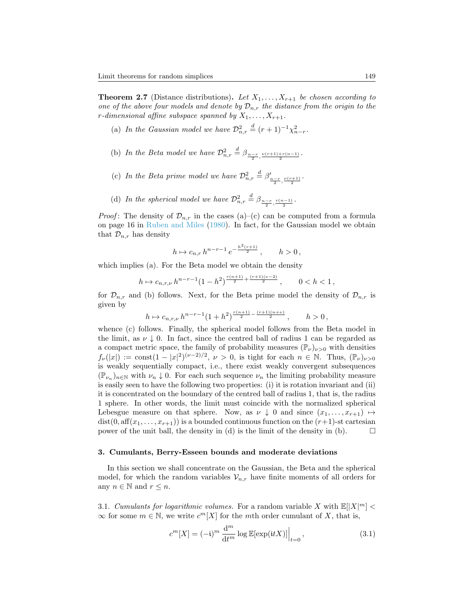<span id="page-8-1"></span>**Theorem 2.7** (Distance distributions). Let  $X_1, \ldots, X_{r+1}$  be chosen according to one of the above four models and denote by  $\mathcal{D}_{n,r}$  the distance from the origin to the r-dimensional affine subspace spanned by  $X_1, \ldots, X_{r+1}$ .

- (a) In the Gaussian model we have  $\mathcal{D}_{n,r}^2 \stackrel{d}{=} (r+1)^{-1} \chi_{n-r}^2$ .
- (b) In the Beta model we have  $\mathcal{D}_{n,r}^2 \stackrel{d}{=} \beta_{\frac{n-r}{2},\frac{\nu(r+1)+r(n-1)}{2}}$ .
- (c) In the Beta prime model we have  $\mathcal{D}_{n,r}^2 \stackrel{d}{=} \beta'_{\frac{n-r}{2},\frac{\nu(r+1)}{2}}$ .
- (d) In the spherical model we have  $\mathcal{D}_{n,r}^2 \stackrel{d}{=} \beta_{\frac{n-r}{2},\frac{r(n-1)}{2}}$ .

*Proof*: The density of  $\mathcal{D}_{n,r}$  in the cases (a)–(c) can be computed from a formula on page 16 in [Ruben and Miles](#page-36-0) [\(1980\)](#page-36-0). In fact, for the Gaussian model we obtain that  $\mathcal{D}_{n,r}$  has density

$$
h \mapsto c_{n,r} \, h^{n-r-1} \, e^{-\frac{h^2(r+1)}{2}}, \qquad h > 0 \,,
$$

which implies (a). For the Beta model we obtain the density

$$
h \mapsto c_{n,r,\nu} \, h^{n-r-1} (1-h^2)^{\frac{r(n+1)}{2} + \frac{(r+1)(\nu-2)}{2}}, \qquad 0 < h < 1 \,,
$$

for  $\mathcal{D}_{n,r}$  and (b) follows. Next, for the Beta prime model the density of  $\mathcal{D}_{n,r}$  is given by

$$
h \mapsto c_{n,r,\nu} \, h^{n-r-1} (1+h^2)^{\frac{r(n+1)}{2} - \frac{(r+1)(n+\nu)}{2}}, \qquad h > 0,
$$

whence (c) follows. Finally, the spherical model follows from the Beta model in the limit, as  $\nu \downarrow 0$ . In fact, since the centred ball of radius 1 can be regarded as a compact metric space, the family of probability measures  $(\mathbb{P}_{\nu})_{\nu>0}$  with densities  $f_{\nu}(|x|) := \text{const}(1-|x|^2)^{(\nu-2)/2}, \ \nu > 0$ , is tight for each  $n \in \mathbb{N}$ . Thus,  $(\mathbb{P}_{\nu})_{\nu>0}$ is weakly sequentially compact, i.e., there exist weakly convergent subsequences  $(\mathbb{P}_{\nu_n})_{n\in\mathbb{N}}$  with  $\nu_n\downarrow 0$ . For each such sequence  $\nu_n$  the limiting probability measure is easily seen to have the following two properties: (i) it is rotation invariant and (ii) it is concentrated on the boundary of the centred ball of radius 1, that is, the radius 1 sphere. In other words, the limit must coincide with the normalized spherical Lebesgue measure on that sphere. Now, as  $\nu \downarrow 0$  and since  $(x_1, \ldots, x_{r+1}) \mapsto$  $dist(0, aff(x_1, \ldots, x_{r+1}))$  is a bounded continuous function on the  $(r+1)$ -st cartesian power of the unit ball, the density in (d) is the limit of the density in (b).  $\Box$ 

#### <span id="page-8-0"></span>3. Cumulants, Berry-Esseen bounds and moderate deviations

In this section we shall concentrate on the Gaussian, the Beta and the spherical model, for which the random variables  $\mathcal{V}_{n,r}$  have finite moments of all orders for any  $n \in \mathbb{N}$  and  $r \leq n$ .

3.1. Cumulants for logarithmic volumes. For a random variable X with  $\mathbb{E}[|X|^m] <$  $\infty$  for some  $m \in \mathbb{N}$ , we write  $c^m[X]$  for the mth order cumulant of X, that is,

$$
c^{m}[X] = (-\mathfrak{i})^{m} \frac{\mathrm{d}^{m}}{\mathrm{d}t^{m}} \log \mathbb{E}[\exp(\mathfrak{i}tX)]\Big|_{t=0},\tag{3.1}
$$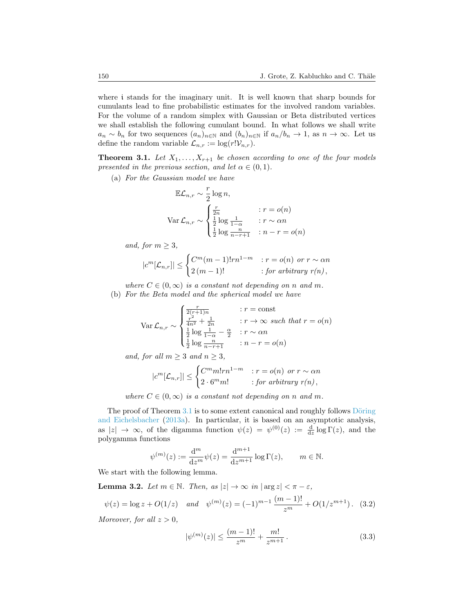where i stands for the imaginary unit. It is well known that sharp bounds for cumulants lead to fine probabilistic estimates for the involved random variables. For the volume of a random simplex with Gaussian or Beta distributed vertices we shall establish the following cumulant bound. In what follows we shall write  $a_n \sim b_n$  for two sequences  $(a_n)_{n \in \mathbb{N}}$  and  $(b_n)_{n \in \mathbb{N}}$  if  $a_n/b_n \to 1$ , as  $n \to \infty$ . Let us define the random variable  $\mathcal{L}_{n,r} := \log(r! \mathcal{V}_{n,r}).$ 

<span id="page-9-0"></span>**Theorem 3.1.** Let  $X_1, \ldots, X_{r+1}$  be chosen according to one of the four models presented in the previous section, and let  $\alpha \in (0,1)$ .

(a) For the Gaussian model we have

$$
\mathbb{E}\mathcal{L}_{n,r} \sim \frac{r}{2} \log n,
$$
  
 
$$
\text{Var } \mathcal{L}_{n,r} \sim \begin{cases} \frac{r}{2n} & \text{if } r = o(n) \\ \frac{1}{2} \log \frac{1}{1-\alpha} & \text{if } r \sim \alpha n \\ \frac{1}{2} \log \frac{n}{n-r+1} & \text{if } n-r = o(n) \end{cases}
$$

and, for  $m \geq 3$ ,

$$
|c^m[\mathcal{L}_{n,r}]| \leq \begin{cases} C^m(m-1)!rn^{1-m} & : r = o(n) \text{ or } r \sim \alpha n \\ 2(m-1)! & : \text{for arbitrary } r(n), \end{cases}
$$

where  $C \in (0,\infty)$  is a constant not depending on n and m.

(b) For the Beta model and the spherical model we have

$$
\operatorname{Var} \mathcal{L}_{n,r} \sim \begin{cases} \frac{r}{2(r+1)n} & : r = \text{const} \\ \frac{r^2}{4n^2} + \frac{1}{2n} & : r \to \infty \text{ such that } r = o(n) \\ \frac{1}{2} \log \frac{1}{1-\alpha} - \frac{\alpha}{2} & : r \sim \alpha n \\ \frac{1}{2} \log \frac{n}{n-r+1} & : n-r = o(n) \end{cases}
$$

and, for all  $m \geq 3$  and  $n \geq 3$ ,

$$
|c^m[\mathcal{L}_{n,r}]| \leq \begin{cases} C^m m! r n^{1-m} & : r = o(n) \text{ or } r \sim \alpha n \\ 2 \cdot 6^m m! & : \text{for arbitrary } r(n), \end{cases}
$$

where  $C \in (0,\infty)$  is a constant not depending on n and m.

The proof of Theorem  $3.1$  is to some extent canonical and roughly follows Döring [and Eichelsbacher](#page-34-3) [\(2013a\)](#page-34-3). In particular, it is based on an asymptotic analysis, as  $|z| \to \infty$ , of the digamma function  $\psi(z) = \psi^{(0)}(z) := \frac{d}{dz} \log \Gamma(z)$ , and the polygamma functions

$$
\psi^{(m)}(z):=\frac{\mathrm{d}^m}{\mathrm{d}z^m}\psi(z)=\frac{\mathrm{d}^{m+1}}{\mathrm{d}z^{m+1}}\log\Gamma(z),\qquad m\in\mathbb{N}.
$$

We start with the following lemma.

<span id="page-9-1"></span>**Lemma 3.2.** Let  $m \in \mathbb{N}$ . Then, as  $|z| \to \infty$  in  $|\arg z| < \pi - \varepsilon$ ,

<span id="page-9-2"></span>
$$
\psi(z) = \log z + O(1/z)
$$
 and  $\psi^{(m)}(z) = (-1)^{m-1} \frac{(m-1)!}{z^m} + O(1/z^{m+1}).$  (3.2)

Moreover, for all  $z > 0$ ,

$$
|\psi^{(m)}(z)| \le \frac{(m-1)!}{z^m} + \frac{m!}{z^{m+1}}.
$$
\n(3.3)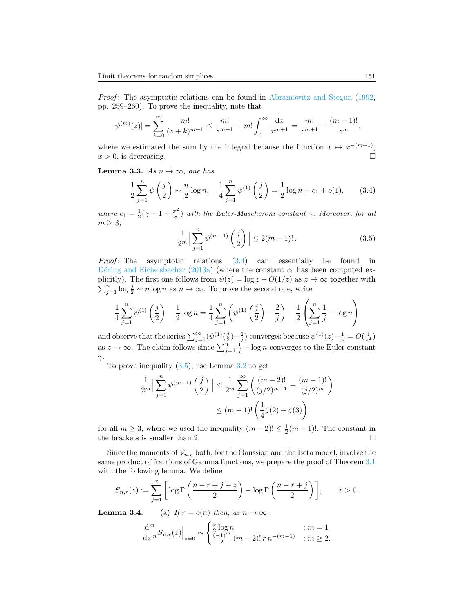Proof: The asymptotic relations can be found in [Abramowitz and Stegun](#page-34-4) [\(1992,](#page-34-4) pp. 259–260). To prove the inequality, note that

$$
|\psi^{(m)}(z)| = \sum_{k=0}^{\infty} \frac{m!}{(z+k)^{m+1}} \le \frac{m!}{z^{m+1}} + m! \int_{z}^{\infty} \frac{dx}{x^{m+1}} = \frac{m!}{z^{m+1}} + \frac{(m-1)!}{z^{m}},
$$

where we estimated the sum by the integral because the function  $x \mapsto x^{-(m+1)}$ ,  $x > 0$ , is decreasing.

<span id="page-10-2"></span>Lemma 3.3. As  $n \to \infty$ , one has

<span id="page-10-0"></span>
$$
\frac{1}{2}\sum_{j=1}^{n} \psi\left(\frac{j}{2}\right) \sim \frac{n}{2}\log n, \quad \frac{1}{4}\sum_{j=1}^{n} \psi^{(1)}\left(\frac{j}{2}\right) = \frac{1}{2}\log n + c_1 + o(1),\tag{3.4}
$$

where  $c_1 = \frac{1}{2}(\gamma + 1 + \frac{\pi^2}{8})$  $\frac{\pi^2}{8}$ ) with the Euler-Mascheroni constant  $\gamma$ . Moreover, for all  $m \geq 3$ ,

<span id="page-10-1"></span>
$$
\frac{1}{2^m} \Big| \sum_{j=1}^n \psi^{(m-1)} \left( \frac{j}{2} \right) \Big| \le 2(m-1)! \,. \tag{3.5}
$$

*Proof*: The asymptotic relations  $(3.4)$  can essentially be found in Döring and Eichelsbacher [\(2013a\)](#page-34-3) (where the constant  $c_1$  has been computed explicitly). The first one follows from  $\psi(z) = \log z + O(1/z)$  as  $z \to \infty$  together with  $\sum_{j=1}^{n} \log \frac{j}{2} \sim n \log n$  as  $n \to \infty$ . To prove the second one, write

$$
\frac{1}{4} \sum_{j=1}^{n} \psi^{(1)} \left( \frac{j}{2} \right) - \frac{1}{2} \log n = \frac{1}{4} \sum_{j=1}^{n} \left( \psi^{(1)} \left( \frac{j}{2} \right) - \frac{2}{j} \right) + \frac{1}{2} \left( \sum_{j=1}^{n} \frac{1}{j} - \log n \right)
$$

and observe that the series  $\sum_{j=1}^{\infty} (\psi^{(1)}(\frac{j}{2}) - \frac{2}{j})$  converges because  $\psi^{(1)}(z) - \frac{1}{z} = O(\frac{1}{z^2})$ as  $z \to \infty$ . The claim follows since  $\sum_{j=1}^{n} \frac{1}{j} - \log n$  converges to the Euler constant  $\gamma$ .

To prove inequality  $(3.5)$ , use Lemma  $3.2$  to get

$$
\frac{1}{2^m} \Big| \sum_{j=1}^n \psi^{(m-1)} \left( \frac{j}{2} \right) \Big| \le \frac{1}{2^m} \sum_{j=1}^\infty \left( \frac{(m-2)!}{(j/2)^{m-1}} + \frac{(m-1)!}{(j/2)^m} \right) \le (m-1)! \left( \frac{1}{4} \zeta(2) + \zeta(3) \right)
$$

for all  $m \geq 3$ , where we used the inequality  $(m-2)! \leq \frac{1}{2}(m-1)!$ . The constant in the brackets is smaller than 2.  $\Box$ 

Since the moments of  $\mathcal{V}_{n,r}$  both, for the Gaussian and the Beta model, involve the same product of fractions of Gamma functions, we prepare the proof of Theorem [3.1](#page-9-0) with the following lemma. We define

$$
S_{n,r}(z) := \sum_{j=1}^r \left[ \log \Gamma\left(\frac{n-r+j+z}{2}\right) - \log \Gamma\left(\frac{n-r+j}{2}\right) \right], \qquad z > 0.
$$

**Lemma 3.4.** (a) If  $r = o(n)$  then, as  $n \to \infty$ ,

$$
\frac{d^m}{dz^m} S_{n,r}(z) \Big|_{z=0} \sim \begin{cases} \frac{r}{2} \log n & : m = 1\\ \frac{(-1)^m}{2} (m-2)! \, r \, n^{-(m-1)} & : m \ge 2. \end{cases}
$$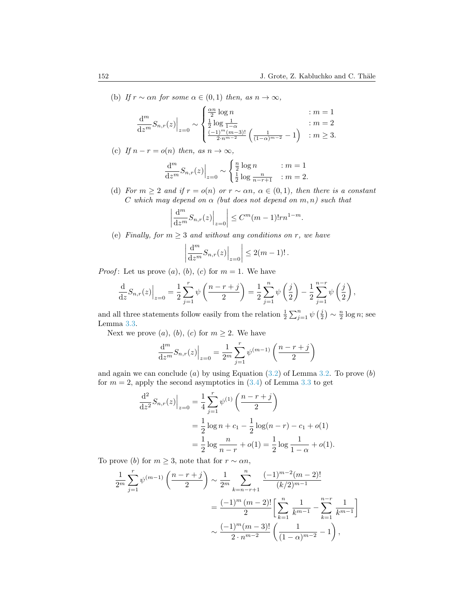(b) If  $r \sim \alpha n$  for some  $\alpha \in (0,1)$  then, as  $n \to \infty$ ,

$$
\frac{d^m}{dz^m} S_{n,r}(z) \Big|_{z=0} \sim \begin{cases} \frac{\alpha n}{2} \log n & : m = 1\\ \frac{1}{2} \log \frac{1}{1-\alpha} & : m = 2\\ \frac{(-1)^m (m-3)!}{2 \cdot n^{m-2}} \left( \frac{1}{(1-\alpha)^{m-2}} - 1 \right) & : m \ge 3. \end{cases}
$$

(c) If  $n - r = o(n)$  then, as  $n \to \infty$ ,

$$
\frac{d^m}{dz^m} S_{n,r}(z) \Big|_{z=0} \sim \begin{cases} \frac{n}{2} \log n & : m = 1\\ \frac{1}{2} \log \frac{n}{n-r+1} & : m = 2. \end{cases}
$$

(d) For  $m \geq 2$  and if  $r = o(n)$  or  $r \sim \alpha n$ ,  $\alpha \in (0,1)$ , then there is a constant C which may depend on  $\alpha$  (but does not depend on  $m, n$ ) such that

$$
\left|\frac{\mathrm{d}^m}{\mathrm{d}z^m}S_{n,r}(z)\right|_{z=0}\right|\leq C^m(m-1)!rn^{1-m}.
$$

(e) Finally, for  $m \geq 3$  and without any conditions on r, we have

$$
\left|\frac{\mathrm{d}^m}{\mathrm{d}z^m}S_{n,r}(z)\right|_{z=0}\right|\leq 2(m-1)!.
$$

*Proof*: Let us prove  $(a)$ ,  $(b)$ ,  $(c)$  for  $m = 1$ . We have

$$
\frac{\mathrm{d}}{\mathrm{d}z} S_{n,r}(z) \Big|_{z=0} = \frac{1}{2} \sum_{j=1}^r \psi\left(\frac{n-r+j}{2}\right) = \frac{1}{2} \sum_{j=1}^n \psi\left(\frac{j}{2}\right) - \frac{1}{2} \sum_{j=1}^{n-r} \psi\left(\frac{j}{2}\right),
$$

and all three statements follow easily from the relation  $\frac{1}{2} \sum_{j=1}^{n} \psi\left(\frac{j}{2}\right) \sim \frac{n}{2} \log n$ ; see Lemma [3.3.](#page-10-2)

Next we prove  $(a)$ ,  $(b)$ ,  $(c)$  for  $m \geq 2$ . We have

$$
\frac{d^{m}}{dz^{m}} S_{n,r}(z) \Big|_{z=0} = \frac{1}{2^{m}} \sum_{j=1}^{r} \psi^{(m-1)} \left( \frac{n-r+j}{2} \right)
$$

and again we can conclude (a) by using Equation  $(3.2)$  of Lemma [3.2.](#page-9-1) To prove  $(b)$ for  $m = 2$ , apply the second asymptotics in  $(3.4)$  of Lemma [3.3](#page-10-2) to get

$$
\frac{d^2}{dz^2} S_{n,r}(z) \Big|_{z=0} = \frac{1}{4} \sum_{j=1}^r \psi^{(1)} \left( \frac{n-r+j}{2} \right)
$$
  
=  $\frac{1}{2} \log n + c_1 - \frac{1}{2} \log (n-r) - c_1 + o(1)$   
=  $\frac{1}{2} \log \frac{n}{n-r} + o(1) = \frac{1}{2} \log \frac{1}{1-\alpha} + o(1).$ 

To prove (b) for  $m \geq 3$ , note that for  $r \sim \alpha n$ ,

$$
\frac{1}{2^m} \sum_{j=1}^r \psi^{(m-1)} \left( \frac{n-r+j}{2} \right) \sim \frac{1}{2^m} \sum_{k=n-r+1}^n \frac{(-1)^{m-2} (m-2)!}{(k/2)^{m-1}}
$$

$$
= \frac{(-1)^m (m-2)!}{2} \left[ \sum_{k=1}^n \frac{1}{k^{m-1}} - \sum_{k=1}^{n-r} \frac{1}{k^{m-1}} \right]
$$

$$
\sim \frac{(-1)^m (m-3)!}{2 \cdot n^{m-2}} \left( \frac{1}{(1-\alpha)^{m-2}} - 1 \right),
$$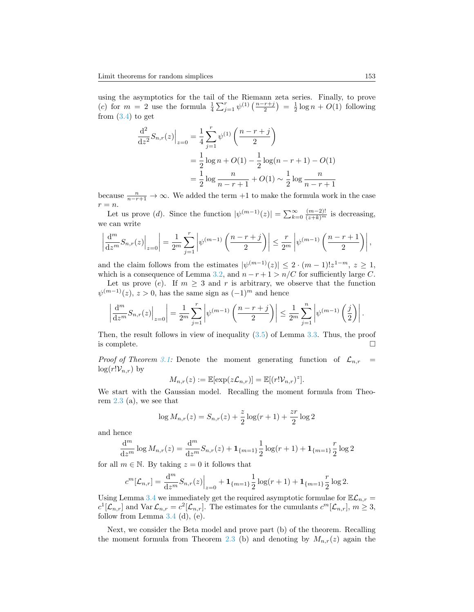using the asymptotics for the tail of the Riemann zeta series. Finally, to prove (c) for  $m = 2$  use the formula  $\frac{1}{4} \sum_{j=1}^{r} \psi^{(1)} \left( \frac{n-r+j}{2} \right) = \frac{1}{2} \log n + O(1)$  following from  $(3.4)$  to get

$$
\frac{d^2}{dz^2} S_{n,r}(z) \Big|_{z=0} = \frac{1}{4} \sum_{j=1}^r \psi^{(1)} \left( \frac{n-r+j}{2} \right)
$$
  
=  $\frac{1}{2} \log n + O(1) - \frac{1}{2} \log(n-r+1) - O(1)$   
=  $\frac{1}{2} \log \frac{n}{n-r+1} + O(1) \sim \frac{1}{2} \log \frac{n}{n-r+1}$ 

because  $\frac{n}{n-r+1} \to \infty$ . We added the term +1 to make the formula work in the case  $r = n$ .

Let us prove (*d*). Since the function  $|\psi^{(m-1)}(z)| = \sum_{k=0}^{\infty} \frac{(m-2)!}{(z+k)^m}$  is decreasing, we can write

$$
\left|\frac{d^m}{dz^m}S_{n,r}(z)\right|_{z=0}=\frac{1}{2^m}\sum_{j=1}^r\left|\psi^{(m-1)}\left(\frac{n-r+j}{2}\right)\right|\leq\frac{r}{2^m}\left|\psi^{(m-1)}\left(\frac{n-r+1}{2}\right)\right|,
$$

and the claim follows from the estimates  $|\psi^{(m-1)}(z)| \leq 2 \cdot (m-1)! z^{1-m}, z \geq 1$ , which is a consequence of Lemma [3.2,](#page-9-1) and  $n - r + 1 > n/C$  for sufficiently large C.

Let us prove (e). If  $m \geq 3$  and r is arbitrary, we observe that the function  $\psi^{(m-1)}(z), z > 0$ , has the same sign as  $(-1)^m$  and hence

$$
\left|\frac{\mathrm{d}^m}{\mathrm{d}z^m}S_{n,r}(z)\Big|_{z=0}\right|=\frac{1}{2^m}\sum_{j=1}^r\left|\psi^{(m-1)}\left(\frac{n-r+j}{2}\right)\right|\leq\frac{1}{2^m}\sum_{j=1}^n\left|\psi^{(m-1)}\left(\frac{j}{2}\right)\right|.
$$

Then, the result follows in view of inequality [\(3.5\)](#page-10-1) of Lemma [3.3.](#page-10-2) Thus, the proof is complete.  $\Box$ 

*Proof of Theorem [3.1:](#page-9-0)* Denote the moment generating function of  $\mathcal{L}_{n,r}$  =  $\log(r!V_{n,r})$  by

$$
M_{n,r}(z) := \mathbb{E}[\exp(z\mathcal{L}_{n,r})] = \mathbb{E}[(r!V_{n,r})^z].
$$

We start with the Gaussian model. Recalling the moment formula from Theorem [2.3](#page-3-1) (a), we see that

$$
\log M_{n,r}(z) = S_{n,r}(z) + \frac{z}{2}\log(r+1) + \frac{zr}{2}\log 2
$$

and hence

$$
\frac{d^{m}}{dz^{m}}\log M_{n,r}(z) = \frac{d^{m}}{dz^{m}}S_{n,r}(z) + \mathbf{1}_{\{m=1\}}\frac{1}{2}\log(r+1) + \mathbf{1}_{\{m=1\}}\frac{r}{2}\log 2
$$

for all  $m \in \mathbb{N}$ . By taking  $z = 0$  it follows that

$$
c^{m}[\mathcal{L}_{n,r}] = \frac{d^{m}}{dz^{m}} S_{n,r}(z) \Big|_{z=0} + \mathbf{1}_{\{m=1\}} \frac{1}{2} \log(r+1) + \mathbf{1}_{\{m=1\}} \frac{r}{2} \log 2.
$$

Using Lemma [3.4](#page-0-0) we immediately get the required asymptotic formulae for  $\mathbb{E}\mathcal{L}_{n,r}$  =  $c^1[\mathcal{L}_{n,r}]$  and  $\text{Var }\mathcal{L}_{n,r} = c^2[\mathcal{L}_{n,r}]$ . The estimates for the cumulants  $c^m[\mathcal{L}_{n,r}], m \geq 3$ , follow from Lemma  $3.4$  (d), (e).

Next, we consider the Beta model and prove part (b) of the theorem. Recalling the moment formula from Theorem [2.3](#page-3-1) (b) and denoting by  $M_{n,r}(z)$  again the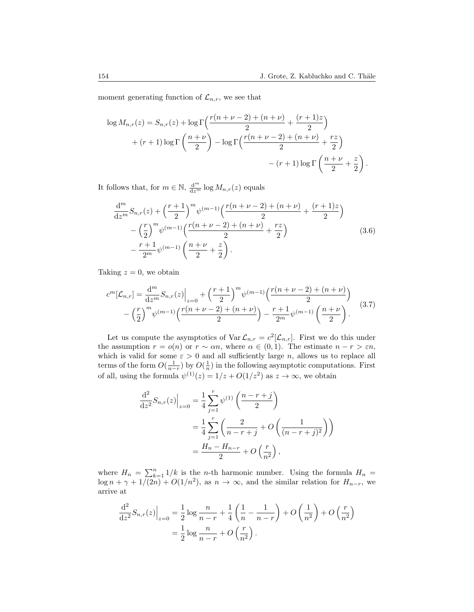moment generating function of  $\mathcal{L}_{n,r}$ , we see that

$$
\log M_{n,r}(z) = S_{n,r}(z) + \log \Gamma \left( \frac{r(n+\nu-2) + (n+\nu)}{2} + \frac{(r+1)z}{2} \right)
$$

$$
+ (r+1)\log \Gamma \left( \frac{n+\nu}{2} \right) - \log \Gamma \left( \frac{r(n+\nu-2) + (n+\nu)}{2} + \frac{rz}{2} \right)
$$

$$
- (r+1)\log \Gamma \left( \frac{n+\nu}{2} + \frac{z}{2} \right).
$$

It follows that, for  $m \in \mathbb{N}$ ,  $\frac{d^m}{dz^m} \log M_{n,r}(z)$  equals

$$
\frac{d^m}{dz^m} S_{n,r}(z) + \left(\frac{r+1}{2}\right)^m \psi^{(m-1)} \left(\frac{r(n+\nu-2) + (n+\nu)}{2} + \frac{(r+1)z}{2}\right) \n- \left(\frac{r}{2}\right)^m \psi^{(m-1)} \left(\frac{r(n+\nu-2) + (n+\nu)}{2} + \frac{rz}{2}\right) \n- \frac{r+1}{2^m} \psi^{(m-1)} \left(\frac{n+\nu}{2} + \frac{z}{2}\right).
$$
\n(3.6)

Taking  $z = 0$ , we obtain

<span id="page-13-0"></span>
$$
c^{m}[\mathcal{L}_{n,r}] = \frac{d^{m}}{dz^{m}} S_{n,r}(z) \Big|_{z=0} + \left(\frac{r+1}{2}\right)^{m} \psi^{(m-1)}\left(\frac{r(n+\nu-2)+(n+\nu)}{2}\right) - \left(\frac{r}{2}\right)^{m} \psi^{(m-1)}\left(\frac{r(n+\nu-2)+(n+\nu)}{2}\right) - \frac{r+1}{2^{m}} \psi^{(m-1)}\left(\frac{n+\nu}{2}\right).
$$
 (3.7)

Let us compute the asymptotics of  $\text{Var }\mathcal{L}_{n,r} = c^2[\mathcal{L}_{n,r}]$ . First we do this under the assumption  $r = o(n)$  or  $r \sim \alpha n$ , where  $\alpha \in (0, 1)$ . The estimate  $n - r > \varepsilon n$ , which is valid for some  $\varepsilon > 0$  and all sufficiently large n, allows us to replace all terms of the form  $O(\frac{1}{n-r})$  by  $O(\frac{1}{n})$  in the following asymptotic computations. First of all, using the formula  $\psi^{(1)}(z) = 1/z + O(1/z^2)$  as  $z \to \infty$ , we obtain

$$
\frac{d^2}{dz^2} S_{n,r}(z) \Big|_{z=0} = \frac{1}{4} \sum_{j=1}^r \psi^{(1)} \left( \frac{n-r+j}{2} \right)
$$
  
= 
$$
\frac{1}{4} \sum_{j=1}^r \left( \frac{2}{n-r+j} + O\left( \frac{1}{(n-r+j)^2} \right) \right)
$$
  
= 
$$
\frac{H_n - H_{n-r}}{2} + O\left( \frac{r}{n^2} \right),
$$

where  $H_n = \sum_{k=1}^n 1/k$  is the n-th harmonic number. Using the formula  $H_n =$  $\log n + \gamma + 1/(2n) + O(1/n^2)$ , as  $n \to \infty$ , and the similar relation for  $H_{n-r}$ , we arrive at

$$
\frac{d^2}{dz^2} S_{n,r}(z) \Big|_{z=0} = \frac{1}{2} \log \frac{n}{n-r} + \frac{1}{4} \left( \frac{1}{n} - \frac{1}{n-r} \right) + O\left( \frac{1}{n^2} \right) + O\left( \frac{r}{n^2} \right) \n= \frac{1}{2} \log \frac{n}{n-r} + O\left( \frac{r}{n^2} \right).
$$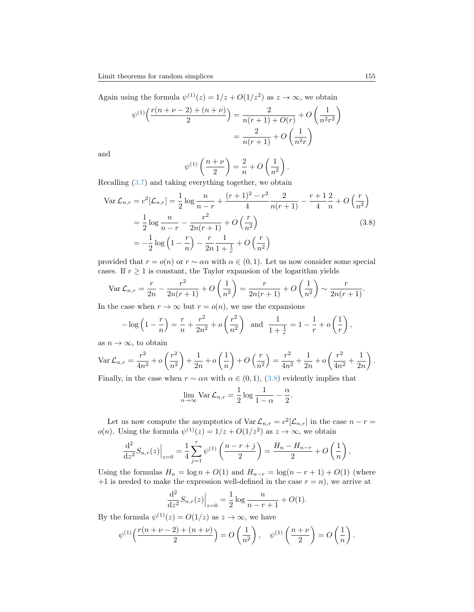Again using the formula  $\psi^{(1)}(z) = 1/z + O(1/z^2)$  as  $z \to \infty$ , we obtain

$$
\psi^{(1)}\left(\frac{r(n+\nu-2)+(n+\nu)}{2}\right) = \frac{2}{n(r+1)+O(r)} + O\left(\frac{1}{n^2r^2}\right)
$$

$$
= \frac{2}{n(r+1)} + O\left(\frac{1}{n^2r}\right)
$$

and

<span id="page-14-0"></span>
$$
\psi^{(1)}\left(\frac{n+\nu}{2}\right) = \frac{2}{n} + O\left(\frac{1}{n^2}\right).
$$

Recalling [\(3.7\)](#page-13-0) and taking everything together, we obtain

$$
\operatorname{Var} \mathcal{L}_{n,r} = c^2 [\mathcal{L}_{n,r}] = \frac{1}{2} \log \frac{n}{n-r} + \frac{(r+1)^2 - r^2}{4} \frac{2}{n(r+1)} - \frac{r+1}{4} \frac{2}{n} + O\left(\frac{r}{n^2}\right)
$$
  
=  $\frac{1}{2} \log \frac{n}{n-r} - \frac{r^2}{2n(r+1)} + O\left(\frac{r}{n^2}\right)$  (3.8)  
=  $-\frac{1}{2} \log \left(1 - \frac{r}{n}\right) - \frac{r}{2n} \frac{1}{1 + \frac{1}{r}} + O\left(\frac{r}{n^2}\right)$ 

provided that  $r = o(n)$  or  $r \sim \alpha n$  with  $\alpha \in (0, 1)$ . Let us now consider some special cases. If  $r \geq 1$  is constant, the Taylor expansion of the logarithm yields

$$
\text{Var}\,\mathcal{L}_{n,r} = \frac{r}{2n} - \frac{r^2}{2n(r+1)} + O\left(\frac{1}{n^2}\right) = \frac{r}{2n(r+1)} + O\left(\frac{1}{n^2}\right) \sim \frac{r}{2n(r+1)}.
$$

In the case when  $r \to \infty$  but  $r = o(n)$ , we use the expansions

$$
-\log\left(1-\frac{r}{n}\right) = \frac{r}{n} + \frac{r^2}{2n^2} + o\left(\frac{r^2}{n^2}\right) \text{ and } \frac{1}{1+\frac{1}{r}} = 1 - \frac{1}{r} + o\left(\frac{1}{r}\right),
$$

as  $n \to \infty$ , to obtain

$$
\operatorname{Var} \mathcal{L}_{n,r} = \frac{r^2}{4n^2} + o\left(\frac{r^2}{n^2}\right) + \frac{1}{2n} + o\left(\frac{1}{n}\right) + O\left(\frac{r}{n^2}\right) = \frac{r^2}{4n^2} + \frac{1}{2n} + o\left(\frac{r^2}{4n^2} + \frac{1}{2n}\right).
$$
  
Finally, in the case when  $n = \text{sup}$  with  $c \in (0, 1)$ ,  $(2, 2)$  variables in this table.

Finally, in the case when  $r \sim \alpha n$  with  $\alpha \in (0,1)$ ,  $(3.8)$  evidently implies that

$$
\lim_{n \to \infty} \text{Var } \mathcal{L}_{n,r} = \frac{1}{2} \log \frac{1}{1 - \alpha} - \frac{\alpha}{2}.
$$

Let us now compute the asymptotics of  $\text{Var }\mathcal{L}_{n,r} = c^2[\mathcal{L}_{n,r}]$  in the case  $n-r=$  $o(n)$ . Using the formula  $\psi^{(1)}(z) = 1/z + O(1/z^2)$  as  $z \to \infty$ , we obtain

$$
\frac{\mathrm{d}^2}{\mathrm{d}z^2} S_{n,r}(z) \Big|_{z=0} = \frac{1}{4} \sum_{j=1}^r \psi^{(1)} \left( \frac{n-r+j}{2} \right) = \frac{H_n - H_{n-r}}{2} + O\left( \frac{1}{n} \right),\,
$$

Using the formulas  $H_n = \log n + O(1)$  and  $H_{n-r} = \log(n-r+1) + O(1)$  (where  $+1$  is needed to make the expression well-defined in the case  $r = n$ , we arrive at

$$
\frac{\mathrm{d}^2}{\mathrm{d}z^2} S_{n,r}(z) \Big|_{z=0} = \frac{1}{2} \log \frac{n}{n-r+1} + O(1).
$$

By the formula  $\psi^{(1)}(z) = O(1/z)$  as  $z \to \infty$ , we have

$$
\psi^{(1)}\Big(\frac{r(n+\nu-2)+(n+\nu)}{2}\Big) = O\left(\frac{1}{n^2}\right), \quad \psi^{(1)}\left(\frac{n+\nu}{2}\right) = O\left(\frac{1}{n}\right).
$$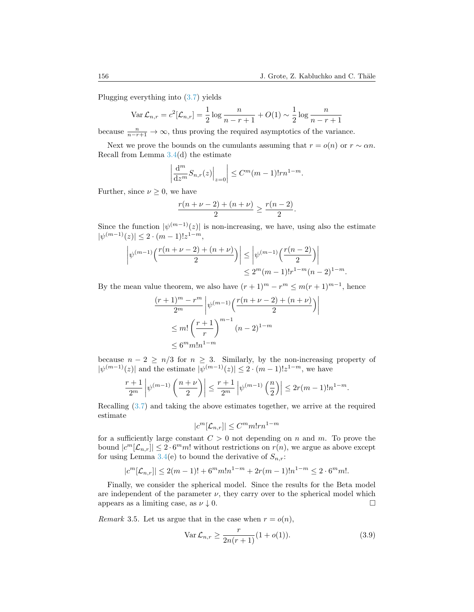Plugging everything into [\(3.7\)](#page-13-0) yields

$$
\text{Var}\,\mathcal{L}_{n,r} = c^2[\mathcal{L}_{n,r}] = \frac{1}{2}\log\frac{n}{n-r+1} + O(1) \sim \frac{1}{2}\log\frac{n}{n-r+1}
$$

because  $\frac{n}{n-r+1} \to \infty$ , thus proving the required asymptotics of the variance.

Next we prove the bounds on the cumulants assuming that  $r = o(n)$  or  $r \sim \alpha n$ . Recall from Lemma [3.4\(](#page-0-0)d) the estimate

$$
\left|\frac{\mathrm{d}^m}{\mathrm{d}z^m}S_{n,r}(z)\right|_{z=0}\right|\leq C^m(m-1)!rn^{1-m}.
$$

Further, since  $\nu \geq 0$ , we have

$$
\frac{r(n+\nu-2)+(n+\nu)}{2} \ge \frac{r(n-2)}{2}.
$$

Since the function  $|\psi^{(m-1)}(z)|$  is non-increasing, we have, using also the estimate  $|\psi^{(m-1)}(z)| \leq 2 \cdot (m-1)! z^{1-m},$ 

$$
\left|\psi^{(m-1)}\left(\frac{r(n+\nu-2)+(n+\nu)}{2}\right)\right| \le \left|\psi^{(m-1)}\left(\frac{r(n-2)}{2}\right)\right| \le 2^m(m-1)!r^{1-m}(n-2)^{1-m}.
$$

By the mean value theorem, we also have  $(r+1)^m - r^m \leq m(r+1)^{m-1}$ , hence

$$
\frac{(r+1)^m - r^m}{2^m} \left| \psi^{(m-1)} \left( \frac{r(n+\nu-2) + (n+\nu)}{2} \right) \right|
$$
  

$$
\leq m! \left( \frac{r+1}{r} \right)^{m-1} (n-2)^{1-m}
$$
  

$$
\leq 6^m m! n^{1-m}
$$

because  $n - 2 \geq n/3$  for  $n \geq 3$ . Similarly, by the non-increasing property of  $|\psi^{(m-1)}(z)|$  and the estimate  $|\psi^{(m-1)}(z)| \leq 2 \cdot (m-1)! z^{1-m}$ , we have

$$
\left|\frac{r+1}{2^m}\left|\psi^{(m-1)}\left(\frac{n+\nu}{2}\right)\right|\leq \frac{r+1}{2^m}\left|\psi^{(m-1)}\left(\frac{n}{2}\right)\right|\leq 2r(m-1)!n^{1-m}.
$$

Recalling [\(3.7\)](#page-13-0) and taking the above estimates together, we arrive at the required estimate

$$
|c^m[\mathcal{L}_{n,r}]| \leq C^m m! r n^{1-m}
$$

for a sufficiently large constant  $C > 0$  not depending on n and m. To prove the bound  $|c^m[\mathcal{L}_{n,r}]| \leq 2 \cdot 6^m m!$  without restrictions on  $r(n)$ , we argue as above except for using Lemma [3.4\(](#page-0-0)e) to bound the derivative of  $S_{n,r}$ :

$$
|c^m[\mathcal{L}_{n,r}]| \le 2(m-1)! + 6^m m! n^{1-m} + 2r(m-1)! n^{1-m} \le 2 \cdot 6^m m!.
$$

Finally, we consider the spherical model. Since the results for the Beta model are independent of the parameter  $\nu$ , they carry over to the spherical model which appears as a limiting case, as  $\nu \downarrow 0$ .

<span id="page-15-1"></span>Remark 3.5. Let us argue that in the case when  $r = o(n)$ ,

<span id="page-15-0"></span>
$$
\text{Var}\,\mathcal{L}_{n,r} \ge \frac{r}{2n(r+1)}(1+o(1)).\tag{3.9}
$$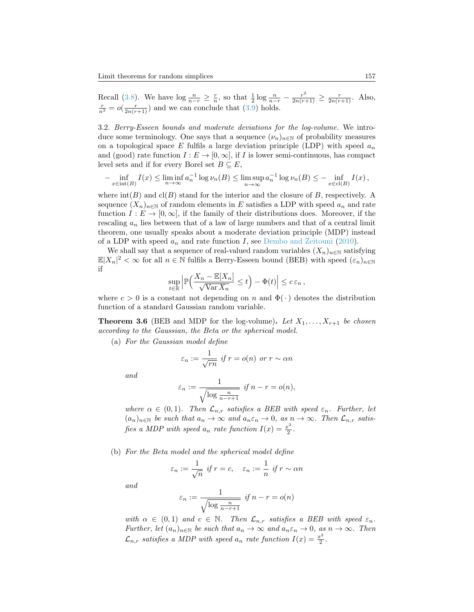Recall [\(3.8\)](#page-14-0). We have  $\log \frac{n}{n-r} \geq \frac{r}{n}$ , so that  $\frac{1}{2} \log \frac{n}{n-r} - \frac{r^2}{2n(r+1)} \geq \frac{r}{2n(r+1)}$ . Also,  $\frac{r}{n^2} = o(\frac{r}{2n(r+1)})$  and we can conclude that [\(3.9\)](#page-15-0) holds.

<span id="page-16-1"></span>3.2. Berry-Esseen bounds and moderate deviations for the log-volume. We introduce some terminology. One says that a sequence  $(\nu_n)_{n\in\mathbb{N}}$  of probability measures on a topological space E fulfils a large deviation principle (LDP) with speed  $a_n$ and (good) rate function  $I : E \to [0, \infty]$ , if I is lower semi-continuous, has compact level sets and if for every Borel set  $B \subseteq E$ ,

$$
-\inf_{x\in \text{int}(B)} I(x) \le \liminf_{n\to\infty} a_n^{-1} \log \nu_n(B) \le \limsup_{n\to\infty} a_n^{-1} \log \nu_n(B) \le -\inf_{x\in \text{cl}(B)} I(x),
$$

where  $\text{int}(B)$  and  $\text{cl}(B)$  stand for the interior and the closure of B, respectively. A sequence  $(X_n)_{n\in\mathbb{N}}$  of random elements in E satisfies a LDP with speed  $a_n$  and rate function  $I: E \to [0, \infty]$ , if the family of their distributions does. Moreover, if the rescaling  $a_n$  lies between that of a law of large numbers and that of a central limit theorem, one usually speaks about a moderate deviation principle (MDP) instead of a LDP with speed  $a_n$  and rate function I, see [Dembo and Zeitouni](#page-34-5) [\(2010\)](#page-34-5).

We shall say that a sequence of real-valued random variables  $(X_n)_{n\in\mathbb{N}}$  satisfying  $\mathbb{E}|X_n|^2 < \infty$  for all  $n \in \mathbb{N}$  fulfils a Berry-Esseen bound (BEB) with speed  $(\varepsilon_n)_{n \in \mathbb{N}}$ if

$$
\sup_{t\in\mathbb{R}}\Big|\mathbb{P}\Big(\frac{X_n-\mathbb{E}[X_n]}{\sqrt{\operatorname{Var} X_n}}\leq t\Big)-\Phi(t)\Big|\leq c\,\varepsilon_n\,,
$$

where  $c > 0$  is a constant not depending on n and  $\Phi(\cdot)$  denotes the distribution function of a standard Gaussian random variable.

<span id="page-16-0"></span>**Theorem 3.6** (BEB and MDP for the log-volume). Let  $X_1, \ldots, X_{r+1}$  be chosen according to the Gaussian, the Beta or the spherical model.

(a) For the Gaussian model define

$$
\varepsilon_n := \frac{1}{\sqrt{rn}} \text{ if } r = o(n) \text{ or } r \sim \alpha n
$$

and

$$
\varepsilon_n := \frac{1}{\sqrt{\log \frac{n}{n-r+1}}} \text{ if } n-r = o(n),
$$

where  $\alpha \in (0,1)$ . Then  $\mathcal{L}_{n,r}$  satisfies a BEB with speed  $\varepsilon_n$ . Further, let  $(a_n)_{n\in\mathbb{N}}$  be such that  $a_n \to \infty$  and  $a_n \varepsilon_n \to 0$ , as  $n \to \infty$ . Then  $\mathcal{L}_{n,r}$  satisfies a MDP with speed  $a_n$  rate function  $I(x) = \frac{x^2}{2}$  $\frac{c^2}{2}$ .

(b) For the Beta model and the spherical model define

$$
\varepsilon_n := \frac{1}{\sqrt{n}} \text{ if } r = c, \quad \varepsilon_n := \frac{1}{n} \text{ if } r \sim \alpha n
$$

and

$$
\varepsilon_n := \frac{1}{\sqrt{\log \frac{n}{n-r+1}}} \text{ if } n-r = o(n)
$$

with  $\alpha \in (0,1)$  and  $c \in \mathbb{N}$ . Then  $\mathcal{L}_{n,r}$  satisfies a BEB with speed  $\varepsilon_n$ . Further, let  $(a_n)_{n\in\mathbb{N}}$  be such that  $a_n \to \infty$  and  $a_n \varepsilon_n \to 0$ , as  $n \to \infty$ . Then  $\mathcal{L}_{n,r}$  satisfies a MDP with speed  $a_n$  rate function  $I(x) = \frac{x^2}{2}$  $rac{c^2}{2}$ .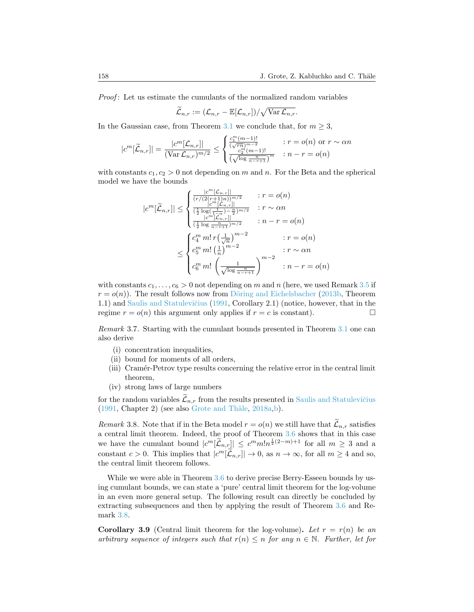*Proof*: Let us estimate the cumulants of the normalized random variables

$$
\widetilde{\mathcal{L}}_{n,r} := (\mathcal{L}_{n,r} - \mathbb{E}[\mathcal{L}_{n,r}]) / \sqrt{\text{Var}\,\mathcal{L}_{n,r}}.
$$

In the Gaussian case, from Theorem [3.1](#page-9-0) we conclude that, for  $m \geq 3$ ,

$$
|c^m[\widetilde{L}_{n,r}]| = \frac{|c^m[\mathcal{L}_{n,r}]|}{(\text{Var}\,\mathcal{L}_{n,r})^{m/2}} \le \begin{cases} \frac{c_1^m(m-1)!}{(\sqrt{rn})^{m-2}} & : r = o(n) \text{ or } r \sim \alpha n\\ \frac{c_2^m(m-1)!}{(\sqrt{\log \frac{n}{n-r+1}})^m} & : n-r = o(n) \end{cases}
$$

with constants  $c_1, c_2 > 0$  not depending on m and n. For the Beta and the spherical model we have the bounds

$$
|c^m[\widetilde{\mathcal{L}}_{n,r}]| \leq \begin{cases} \frac{|c^m[\mathcal{L}_{n,r}]|}{(r/(2(r+1)n))^{m/2}} & : r = o(n) \\ \frac{|c^m[\mathcal{L}_{n,r}]|}{(\frac{1}{2}\log(\frac{1}{1-\alpha})^{-\frac{\alpha}{2}})^{m/2}} & : r \sim \alpha n \\ \frac{|c^m[\mathcal{L}_{n,r}]|}{(\frac{1}{2}\log\frac{n}{n-r+1})^{m/2}} & : n-r = o(n) \end{cases}
$$

$$
\leq \begin{cases} c_4^m m! \, r(\frac{1}{\sqrt{n}})^{m-2} & : r = o(n) \\ c_5^m m! (\frac{1}{n})^{m-2} & : r \sim \alpha n \\ c_6^m m! (\frac{1}{\sqrt{\log\frac{n}{n-r+1}}})^{m-2} & : n-r = o(n) \end{cases}
$$

with constants  $c_1, \ldots, c_6 > 0$  not depending on m and n (here, we used Remark [3.5](#page-15-1) if  $r = o(n)$ ). The result follows now from Döring and Eichelsbacher [\(2013b,](#page-34-6) Theorem 1.1) and Saulis and Statulevičius [\(1991,](#page-36-3) Corollary 2.1) (notice, however, that in the regime  $r = o(n)$  this argument only applies if  $r = c$  is constant).

Remark 3.7. Starting with the cumulant bounds presented in Theorem [3.1](#page-9-0) one can also derive

- (i) concentration inequalities,
- (ii) bound for moments of all orders,
- (iii) Cramér-Petrov type results concerning the relative error in the central limit theorem,
- (iv) strong laws of large numbers

for the random variables  $\mathcal{L}_{n,r}$  from the results presented in Saulis and Statulevičius  $(1991, Chapter 2)$  $(1991, Chapter 2)$  (see also Grote and Thäle, [2018a,](#page-35-11)[b\)](#page-35-12).

<span id="page-17-0"></span>Remark 3.8. Note that if in the Beta model  $r = o(n)$  we still have that  $\mathcal{L}_{n,r}$  satisfies a central limit theorem. Indeed, the proof of Theorem [3.6](#page-16-0) shows that in this case we have the cumulant bound  $|c^m[\tilde{L}_{n,r}]\leq c^m m!n^{\frac{1}{2}(2-m)+1}$  for all  $m\geq 3$  and a constant  $c > 0$ . This implies that  $|c^m[\mathcal{L}_{n,r}]| \to 0$ , as  $n \to \infty$ , for all  $m \ge 4$  and so, the central limit theorem follows.

While we were able in Theorem [3.6](#page-16-0) to derive precise Berry-Esseen bounds by using cumulant bounds, we can state a 'pure' central limit theorem for the log-volume in an even more general setup. The following result can directly be concluded by extracting subsequences and then by applying the result of Theorem [3.6](#page-16-0) and Remark [3.8.](#page-17-0)

<span id="page-17-1"></span>**Corollary 3.9** (Central limit theorem for the log-volume). Let  $r = r(n)$  be an arbitrary sequence of integers such that  $r(n) \leq n$  for any  $n \in \mathbb{N}$ . Further, let for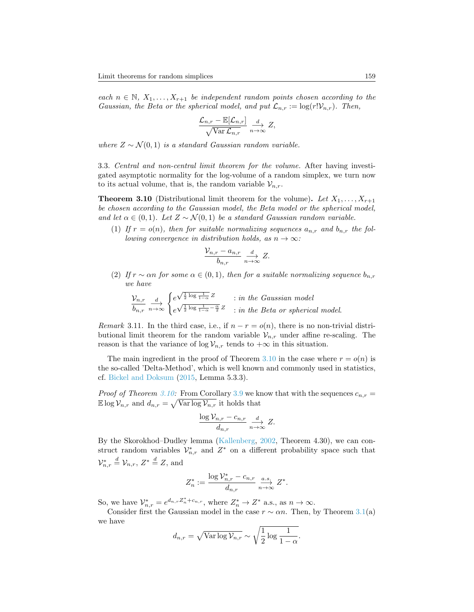each  $n \in \mathbb{N}, X_1, \ldots, X_{r+1}$  be independent random points chosen according to the Gaussian, the Beta or the spherical model, and put  $\mathcal{L}_{n,r} := \log(r! \mathcal{V}_{n,r})$ . Then,

$$
\frac{\mathcal{L}_{n,r} - \mathbb{E}[\mathcal{L}_{n,r}]}{\sqrt{\text{Var}\,\mathcal{L}_{n,r}}}\xrightarrow[n\to\infty]{d} Z,
$$

where  $Z \sim \mathcal{N}(0, 1)$  is a standard Gaussian random variable.

3.3. Central and non-central limit theorem for the volume. After having investigated asymptotic normality for the log-volume of a random simplex, we turn now to its actual volume, that is, the random variable  $\mathcal{V}_{n,r}$ .

<span id="page-18-0"></span>**Theorem 3.10** (Distributional limit theorem for the volume). Let  $X_1, \ldots, X_{r+1}$ be chosen according to the Gaussian model, the Beta model or the spherical model, and let  $\alpha \in (0,1)$ . Let  $Z \sim \mathcal{N}(0,1)$  be a standard Gaussian random variable.

(1) If  $r = o(n)$ , then for suitable normalizing sequences  $a_{n,r}$  and  $b_{n,r}$  the following convergence in distribution holds, as  $n \to \infty$ :

$$
\frac{\mathcal{V}_{n,r} - a_{n,r}}{b_{n,r}} \xrightarrow[n \to \infty]{d} Z.
$$

(2) If  $r \sim \alpha n$  for some  $\alpha \in (0,1)$ , then for a suitable normalizing sequence  $b_{n,r}$ we have

$$
\frac{\mathcal{V}_{n,r}}{b_{n,r}} \xrightarrow[n \to \infty]{} \begin{cases} e^{\sqrt{\frac{1}{2} \log \frac{1}{1-\alpha} Z}} & \text{in the Gaussian model} \\ e^{\sqrt{\frac{1}{2} \log \frac{1}{1-\alpha} - \frac{\alpha}{2} Z}} & \text{in the Beta or spherical model.} \end{cases}
$$

*Remark* 3.11. In the third case, i.e., if  $n - r = o(n)$ , there is no non-trivial distributional limit theorem for the random variable  $\mathcal{V}_{n,r}$  under affine re-scaling. The reason is that the variance of  $\log V_{n,r}$  tends to  $+\infty$  in this situation.

The main ingredient in the proof of Theorem [3.10](#page-18-0) in the case where  $r = o(n)$  is the so-called 'Delta-Method', which is well known and commonly used in statistics, cf. [Bickel and Doksum](#page-34-7) [\(2015,](#page-34-7) Lemma 5.3.3).

*Proof of Theorem [3.10:](#page-18-0)* From Corollary [3.9](#page-17-1) we know that with the sequences  $c_{n,r}$  =  $\mathbb{E} \log \mathcal{V}_{n,r}$  and  $d_{n,r} = \sqrt{\text{Var} \log \mathcal{V}_{n,r}}$  it holds that

$$
\frac{\log \mathcal{V}_{n,r} - c_{n,r}}{d_{n,r}} \xrightarrow[n \to \infty]{d} Z.
$$

By the Skorokhod–Dudley lemma [\(Kallenberg,](#page-35-13) [2002,](#page-35-13) Theorem 4.30), we can construct random variables  $\mathcal{V}_{n,r}^*$  and  $Z^*$  on a different probability space such that  $\mathcal{V}_{n,r}^* \stackrel{d}{=} \mathcal{V}_{n,r}, Z^* \stackrel{d}{=} Z$ , and

$$
Z_n^* := \frac{\log \mathcal{V}_{n,r}^* - c_{n,r}}{d_{n,r}} \xrightarrow[n \to \infty]{a.s.} Z^*.
$$

So, we have  $\mathcal{V}_{n,r}^* = e^{d_{n,r}Z_n^* + c_{n,r}}$ , where  $Z_n^* \to Z^*$  a.s., as  $n \to \infty$ .

Consider first the Gaussian model in the case  $r \sim \alpha n$ . Then, by Theorem [3.1\(](#page-9-0)a) we have

$$
d_{n,r} = \sqrt{\text{Var}\log \mathcal{V}_{n,r}} \sim \sqrt{\frac{1}{2}\log \frac{1}{1-\alpha}}.
$$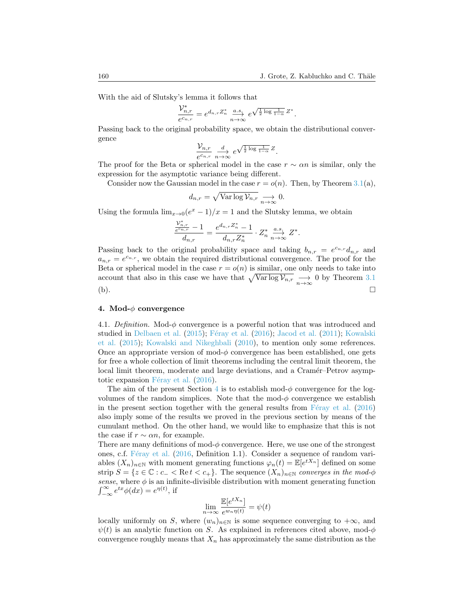With the aid of Slutsky's lemma it follows that

$$
\frac{{\mathcal V}_{n,r}^*}{e^{c_{n,r}}}=e^{d_{n,r}Z_n^*}\overset{a.s.}{\underset{n\to\infty}\longrightarrow}e^{\sqrt{\frac{1}{2}\log\frac{1}{1-\alpha}}Z^*}.
$$

Passing back to the original probability space, we obtain the distributional convergence

$$
\frac{\mathcal{V}_{n,r}}{e^{c_{n,r}}}\xrightarrow[n\to\infty]{d} e^{\sqrt{\frac{1}{2}\log\frac{1}{1-\alpha}}}Z.
$$

The proof for the Beta or spherical model in the case  $r \sim \alpha n$  is similar, only the expression for the asymptotic variance being different.

Consider now the Gaussian model in the case  $r = o(n)$ . Then, by Theorem [3.1\(](#page-9-0)a),

$$
d_{n,r} = \sqrt{\text{Var}\log \mathcal{V}_{n,r}} \underset{n \to \infty}{\longrightarrow} 0.
$$

Using the formula  $\lim_{x\to 0} (e^x - 1)/x = 1$  and the Slutsky lemma, we obtain

$$
\frac{\frac{\mathcal{V}^*_{n,r}}{e^{c_{n,r}}-1}}{d_{n,r}}=\frac{e^{d_{n,r}Z^*_n}-1}{d_{n,r}Z^*_n}\cdot Z^*_n\overset{a.s.}{\underset{n\rightarrow\infty}{\longrightarrow}}Z^*.
$$

Passing back to the original probability space and taking  $b_{n,r} = e^{c_{n,r}} d_{n,r}$  and  $a_{n,r} = e^{c_{n,r}}$ , we obtain the required distributional convergence. The proof for the Beta or spherical model in the case  $r = o(n)$  is similar, one only needs to take into account that also in this case we have that  $\sqrt{\text{Var}\log \mathcal{V}_{n,r}} \longrightarrow 0$  by Theorem [3.1](#page-9-0)  $(b).$ 

### <span id="page-19-0"></span>4. Mod- $\phi$  convergence

4.1. Definition. Mod- $\phi$  convergence is a powerful notion that was introduced and studied in [Delbaen et al.](#page-34-8)  $(2015)$ ; Féray et al.  $(2016)$ ; [Jacod et al.](#page-35-15)  $(2011)$ ; [Kowalski](#page-35-16) [et al.](#page-35-16) [\(2015\)](#page-35-16); [Kowalski and Nikeghbali](#page-35-17) [\(2010\)](#page-35-17), to mention only some references. Once an appropriate version of mod- $\phi$  convergence has been established, one gets for free a whole collection of limit theorems including the central limit theorem, the local limit theorem, moderate and large deviations, and a Cramér–Petrov asymptotic expansion F $\acute{e}$ ray et al. [\(2016\)](#page-35-14).

The aim of the present Section [4](#page-19-0) is to establish mod- $\phi$  convergence for the logvolumes of the random simplices. Note that the mod- $\phi$  convergence we establish in the present section together with the general results from  $F$ éray et al. [\(2016\)](#page-35-14) also imply some of the results we proved in the previous section by means of the cumulant method. On the other hand, we would like to emphasize that this is not the case if  $r \sim \alpha n$ , for example.

There are many definitions of mod- $\phi$  convergence. Here, we use one of the strongest ones, c.f. Féray et al. [\(2016,](#page-35-14) Definition 1.1). Consider a sequence of random variables  $(X_n)_{n\in\mathbb{N}}$  with moment generating functions  $\varphi_n(t) = \mathbb{E}[e^{tX_n}]$  defined on some strip  $S = \{z \in \mathbb{C} : c_- < \text{Re } t < c_+\}.$  The sequence  $(X_n)_{n \in \mathbb{N}}$  converges in the mod- $\phi$ sense, where  $\phi$  is an infinite-divisible distribution with moment generating function  $\int_{-\infty}^{\infty} e^{tx} \phi(dx) = e^{\eta(t)}$ , if

$$
\lim_{n \to \infty} \frac{\mathbb{E}[e^{tX_n}]}{e^{w_n \eta(t)}} = \psi(t)
$$

locally uniformly on S, where  $(w_n)_{n\in\mathbb{N}}$  is some sequence converging to  $+\infty$ , and  $\psi(t)$  is an analytic function on S. As explained in references cited above, mod- $\phi$ convergence roughly means that  $X_n$  has approximately the same distribution as the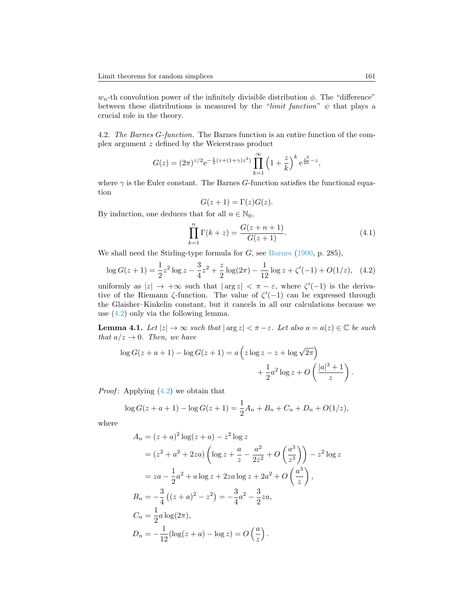$w_n$ -th convolution power of the infinitely divisible distribution  $\phi$ . The "difference" between these distributions is measured by the "limit function"  $\psi$  that plays a crucial role in the theory.

4.2. The Barnes G-function. The Barnes function is an entire function of the complex argument z defined by the Weierstrass product

$$
G(z) = (2\pi)^{z/2} e^{-\frac{1}{2}(z + (1+\gamma)z^2)} \prod_{k=1}^{\infty} \left(1 + \frac{z}{k}\right)^k e^{\frac{z^2}{2k} - z},
$$

where  $\gamma$  is the Euler constant. The Barnes G-function satisfies the functional equation

$$
G(z+1) = \Gamma(z)G(z).
$$

By induction, one deduces that for all  $n \in \mathbb{N}_0$ ,

<span id="page-20-1"></span>
$$
\prod_{k=1}^{n} \Gamma(k+z) = \frac{G(z+n+1)}{G(z+1)}.
$$
\n(4.1)

We shall need the Stirling-type formula for  $G$ , see [Barnes](#page-34-9) [\(1900,](#page-34-9) p. 285),

<span id="page-20-0"></span>
$$
\log G(z+1) = \frac{1}{2}z^2 \log z - \frac{3}{4}z^2 + \frac{z}{2} \log(2\pi) - \frac{1}{12} \log z + \zeta'(-1) + O(1/z), \quad (4.2)
$$

uniformly as  $|z| \to +\infty$  such that  $|\arg z| < \pi - \varepsilon$ , where  $\zeta'(-1)$  is the derivative of the Riemann  $\zeta$ -function. The value of  $\zeta'(-1)$  can be expressed through the Glaisher–Kinkelin constant, but it cancels in all our calculations because we use [\(4.2\)](#page-20-0) only via the following lemma.

<span id="page-20-2"></span>**Lemma 4.1.** Let  $|z| \to \infty$  such that  $|\arg z| < \pi - \varepsilon$ . Let also  $a = a(z) \in \mathbb{C}$  be such that  $a/z \rightarrow 0$ . Then, we have

$$
\log G(z+a+1) - \log G(z+1) = a\left(z\log z - z + \log\sqrt{2\pi}\right)
$$

$$
+ \frac{1}{2}a^2\log z + O\left(\frac{|a|^3+1}{z}\right).
$$

*Proof*: Applying  $(4.2)$  we obtain that

$$
\log G(z + a + 1) - \log G(z + 1) = \frac{1}{2}A_n + B_n + C_n + D_n + O(1/z),
$$

where

$$
A_n = (z+a)^2 \log(z+a) - z^2 \log z
$$
  
=  $(z^2 + a^2 + 2za) \left( \log z + \frac{a}{z} - \frac{a^2}{2z^2} + O\left(\frac{a^3}{z^3}\right) \right) - z^2 \log z$   
=  $za - \frac{1}{2}a^2 + a \log z + 2za \log z + 2a^2 + O\left(\frac{a^3}{z}\right)$ ,  

$$
B_n = -\frac{3}{4} \left( (z+a)^2 - z^2 \right) = -\frac{3}{4}a^2 - \frac{3}{2}za
$$
,  

$$
C_n = \frac{1}{2}a \log(2\pi),
$$
  

$$
D_n = -\frac{1}{12} (\log(z+a) - \log z) = O\left(\frac{a}{z}\right).
$$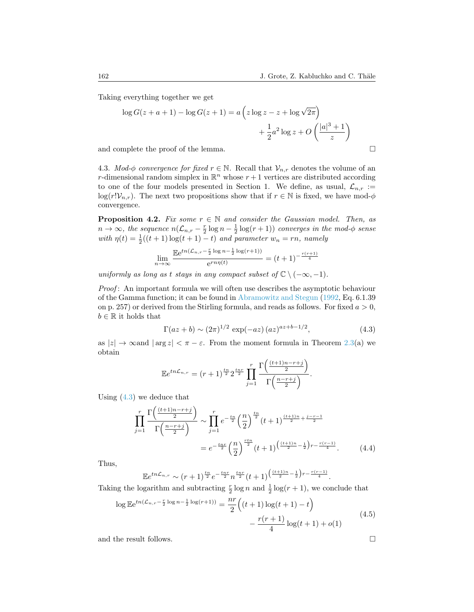Taking everything together we get

$$
\log G(z + a + 1) - \log G(z + 1) = a\left(z \log z - z + \log \sqrt{2\pi}\right)
$$

$$
+ \frac{1}{2}a^2 \log z + O\left(\frac{|a|^3 + 1}{z}\right)
$$
  
and complete the proof of the lemma.

4.3. Mod- $\phi$  convergence for fixed  $r \in \mathbb{N}$ . Recall that  $\mathcal{V}_{n,r}$  denotes the volume of an r-dimensional random simplex in  $\mathbb{R}^n$  whose  $r+1$  vertices are distributed according to one of the four models presented in Section 1. We define, as usual,  $\mathcal{L}_{n,r}$  :=  $\log(r!V_{n,r})$ . The next two propositions show that if  $r \in \mathbb{N}$  is fixed, we have mod- $\phi$ convergence.

<span id="page-21-3"></span>**Proposition 4.2.** Fix some  $r \in \mathbb{N}$  and consider the Gaussian model. Then, as  $n \to \infty$ , the sequence  $n(\mathcal{L}_{n,r} - \frac{r}{2} \log n - \frac{1}{2} \log(r+1))$  converges in the mod- $\phi$  sense with  $\eta(t) = \frac{1}{2}((t+1)\log(t+1) - t)$  and parameter  $w_n = rn$ , namely

$$
\lim_{n \to \infty} \frac{\mathbb{E}e^{tn(\mathcal{L}_{n,r} - \frac{r}{2}\log n - \frac{1}{2}\log(r+1))}}{e^{rn\eta(t)}} = (t+1)^{-\frac{r(r+1)}{4}}
$$

uniformly as long as t stays in any compact subset of  $\mathbb{C} \setminus (-\infty, -1)$ .

Proof: An important formula we will often use describes the asymptotic behaviour of the Gamma function; it can be found in [Abramowitz and Stegun](#page-34-4) [\(1992,](#page-34-4) Eq. 6.1.39 on p. 257) or derived from the Stirling formula, and reads as follows. For fixed  $a > 0$ ,  $b \in \mathbb{R}$  it holds that

<span id="page-21-0"></span>
$$
\Gamma(az+b) \sim (2\pi)^{1/2} \exp(-az) (az)^{az+b-1/2},
$$
\n(4.3)

as  $|z| \to \infty$  and  $|\arg z| < \pi - \varepsilon$ . From the moment formula in Theorem [2.3\(](#page-3-1)a) we obtain

$$
\mathbb{E}e^{tn\mathcal{L}_{n,r}} = (r+1)^{\frac{tn}{2}} 2^{\frac{tnr}{2}} \prod_{j=1}^r \frac{\Gamma\left(\frac{(t+1)n-r+j}{2}\right)}{\Gamma\left(\frac{n-r+j}{2}\right)}.
$$

Using  $(4.3)$  we deduce that

$$
\prod_{j=1}^{r} \frac{\Gamma\left(\frac{(t+1)n-r+j}{2}\right)}{\Gamma\left(\frac{n-r+j}{2}\right)} \sim \prod_{j=1}^{r} e^{-\frac{tn}{2}} \left(\frac{n}{2}\right)^{\frac{tn}{2}} (t+1)^{\frac{(t+1)n}{2} + \frac{j-r-1}{2}}
$$
\n
$$
= e^{-\frac{tnr}{2}} \left(\frac{n}{2}\right)^{\frac{rtn}{2}} (t+1)^{\frac{(t+1)n}{2} - \frac{1}{2}} r^{-\frac{r(r-1)}{4}}.
$$
\n(4.4)

Thus,

$$
\mathbb{E}e^{tn\mathcal{L}_{n,r}} \sim (r+1)^{\frac{tn}{2}}e^{-\frac{tnr}{2}}n^{\frac{tnr}{2}}(t+1)^{\left(\frac{(t+1)n}{2}-\frac{1}{2}\right)r-\frac{r(r-1)}{4}}.
$$

Taking the logarithm and subtracting  $\frac{r}{2} \log n$  and  $\frac{1}{2} \log(r+1)$ , we conclude that

<span id="page-21-1"></span>
$$
\log \mathbb{E} e^{tn(\mathcal{L}_{n,r} - \frac{r}{2}\log n - \frac{1}{2}\log(r+1))} = \frac{nr}{2} \left( (t+1)\log(t+1) - t \right) - \frac{r(r+1)}{4}\log(t+1) + o(1)
$$
(4.5)

and the result follows.

<span id="page-21-2"></span>
$$
\qquad \qquad \Box
$$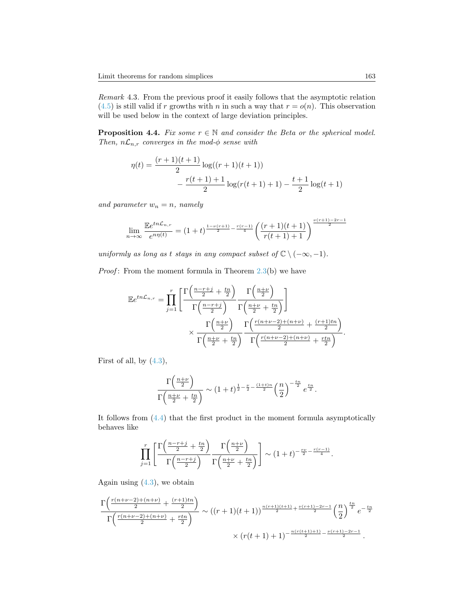<span id="page-22-0"></span>Remark 4.3. From the previous proof it easily follows that the asymptotic relation  $(4.5)$  is still valid if r growths with n in such a way that  $r = o(n)$ . This observation will be used below in the context of large deviation principles.

<span id="page-22-1"></span>**Proposition 4.4.** Fix some  $r \in \mathbb{N}$  and consider the Beta or the spherical model. Then,  $n\mathcal{L}_{n,r}$  converges in the mod- $\phi$  sense with

$$
\eta(t) = \frac{(r+1)(t+1)}{2} \log((r+1)(t+1)) - \frac{r(t+1)+1}{2} \log(r(t+1)+1) - \frac{t+1}{2} \log(t+1)
$$

and parameter  $w_n = n$ , namely

$$
\lim_{n \to \infty} \frac{\mathbb{E}e^{tn\mathcal{L}_{n,r}}}{e^{n\eta(t)}} = (1+t)^{\frac{1-\nu(r+1)}{2} - \frac{r(r-1)}{4}} \left(\frac{(r+1)(t+1)}{r(t+1)+1}\right)^{\frac{\nu(r+1)-2r-1}{2}}
$$

uniformly as long as t stays in any compact subset of  $\mathbb{C} \setminus (-\infty, -1)$ .

*Proof*: From the moment formula in Theorem  $2.3(b)$  $2.3(b)$  we have

$$
\mathbb{E}e^{tn\mathcal{L}_{n,r}} = \prod_{j=1}^r \left[ \frac{\Gamma\left(\frac{n-r+j}{2} + \frac{tn}{2}\right)}{\Gamma\left(\frac{n-r+j}{2}\right)} \frac{\Gamma\left(\frac{n+\nu}{2}\right)}{\Gamma\left(\frac{n+\nu}{2} + \frac{tn}{2}\right)} \right] \times \frac{\Gamma\left(\frac{n+\nu}{2}\right)}{\Gamma\left(\frac{n+\nu}{2} + \frac{tn}{2}\right)} \frac{\Gamma\left(\frac{r(n+\nu-2)+(n+\nu)}{2} + \frac{(r+1)tn}{2}\right)}{\Gamma\left(\frac{n+\nu}{2} + \frac{tn}{2}\right)}.
$$

First of all, by  $(4.3)$ ,

$$
\frac{\Gamma\left(\frac{n+\nu}{2}\right)}{\Gamma\left(\frac{n+\nu}{2}+\frac{tn}{2}\right)} \sim (1+t)^{\frac{1}{2}-\frac{\nu}{2}-\frac{(1+t)n}{2}} \left(\frac{n}{2}\right)^{-\frac{tn}{2}} e^{\frac{tn}{2}}.
$$

It follows from [\(4.4\)](#page-21-2) that the first product in the moment formula asymptotically behaves like

$$
\prod_{j=1}^r \left[ \frac{\Gamma\left(\frac{n-r+j}{2} + \frac{tn}{2}\right)}{\Gamma\left(\frac{n-r+j}{2}\right)} \frac{\Gamma\left(\frac{n+\nu}{2}\right)}{\Gamma\left(\frac{n+\nu}{2} + \frac{tn}{2}\right)} \right] \sim (1+t)^{-\frac{rv}{2} - \frac{r(r-1)}{4}}.
$$

Again using  $(4.3)$ , we obtain

$$
\frac{\Gamma\left(\frac{r(n+\nu-2)+(n+\nu)}{2}+\frac{(r+1)tn}{2}\right)}{\Gamma\left(\frac{r(n+\nu-2)+(n+\nu)}{2}+\frac{rtn}{2}\right)} \sim ((r+1)(t+1))^{\frac{n(r+1)(t+1)}{2}+\frac{\nu(r+1)-2r-1}{2}}\left(\frac{n}{2}\right)^{\frac{tn}{2}}e^{-\frac{tn}{2}}
$$

$$
\times (r(t+1)+1)^{-\frac{n(r(t+1)+1)}{2}-\frac{\nu(r+1)-2r-1}{2}}.
$$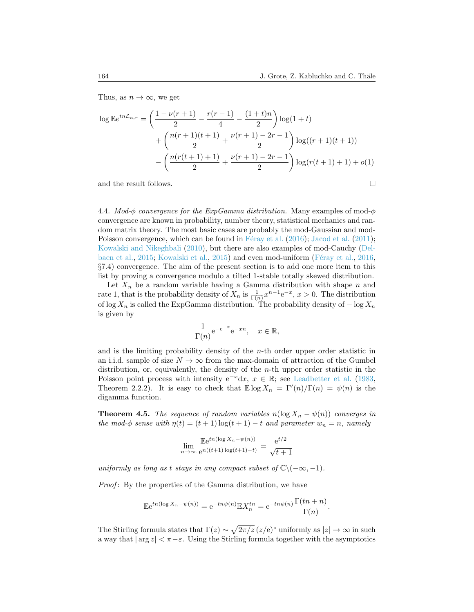Thus, as  $n \to \infty$ , we get

$$
\log \mathbb{E} e^{tn\mathcal{L}_{n,r}} = \left(\frac{1 - \nu(r+1)}{2} - \frac{r(r-1)}{4} - \frac{(1+t)n}{2}\right) \log(1+t)
$$

$$
+ \left(\frac{n(r+1)(t+1)}{2} + \frac{\nu(r+1) - 2r - 1}{2}\right) \log((r+1)(t+1))
$$

$$
- \left(\frac{n(r(t+1)+1)}{2} + \frac{\nu(r+1) - 2r - 1}{2}\right) \log(r(t+1) + 1) + o(1)
$$

and the result follows.  $\Box$ 

4.4. Mod- $\phi$  convergence for the ExpGamma distribution. Many examples of mod- $\phi$ convergence are known in probability, number theory, statistical mechanics and random matrix theory. The most basic cases are probably the mod-Gaussian and mod-Poisson convergence, which can be found in F $\acute{e}$ ray et al. [\(2016\)](#page-35-14); [Jacod et al.](#page-35-15) [\(2011\)](#page-35-15); [Kowalski and Nikeghbali](#page-35-17) [\(2010\)](#page-35-17), but there are also examples of mod-Cauchy [\(Del](#page-34-8)[baen et al.,](#page-34-8) [2015;](#page-34-8) [Kowalski et al.,](#page-35-16) [2015\)](#page-35-16) and even mod-uniform (Féray et al., [2016,](#page-35-14) §7.4) convergence. The aim of the present section is to add one more item to this list by proving a convergence modulo a tilted 1-stable totally skewed distribution.

Let  $X_n$  be a random variable having a Gamma distribution with shape n and rate 1, that is the probability density of  $X_n$  is  $\frac{1}{\Gamma(n)} x^{n-1} e^{-x}$ ,  $x > 0$ . The distribution of log  $X_n$  is called the ExpGamma distribution. The probability density of  $-\log X_n$ is given by

$$
\frac{1}{\Gamma(n)} e^{-e^{-x}} e^{-xn}, \quad x \in \mathbb{R},
$$

and is the limiting probability density of the  $n$ -th order upper order statistic in an i.i.d. sample of size  $N \to \infty$  from the max-domain of attraction of the Gumbel distribution, or, equivalently, the density of the  $n$ -th upper order statistic in the Poisson point process with intensity  $e^{-x}dx$ ,  $x \in \mathbb{R}$ ; see [Leadbetter et al.](#page-35-18) [\(1983,](#page-35-18) Theorem 2.2.2). It is easy to check that  $\mathbb{E} \log X_n = \Gamma'(n)/\Gamma(n) = \psi(n)$  is the digamma function.

<span id="page-23-0"></span>**Theorem 4.5.** The sequence of random variables  $n(\log X_n - \psi(n))$  converges in the mod- $\phi$  sense with  $\eta(t) = (t+1) \log(t+1) - t$  and parameter  $w_n = n$ , namely

$$
\lim_{n \to \infty} \frac{\mathbb{E}e^{tn(\log X_n - \psi(n))}}{e^{n((t+1)\log(t+1)-t)}} = \frac{e^{t/2}}{\sqrt{t+1}}
$$

uniformly as long as t stays in any compact subset of  $\mathbb{C}\setminus(-\infty, -1)$ .

Proof: By the properties of the Gamma distribution, we have

$$
\mathbb{E}e^{tn(\log X_n - \psi(n))} = e^{-tn\psi(n)} \mathbb{E}X_n^{tn} = e^{-tn\psi(n)} \frac{\Gamma(tn+n)}{\Gamma(n)}.
$$

The Stirling formula states that  $\Gamma(z) \sim \sqrt{2\pi/z} (z/\mathrm{e})^z$  uniformly as  $|z| \to \infty$  in such a way that  $|\arg z| < \pi - \varepsilon$ . Using the Stirling formula together with the asymptotics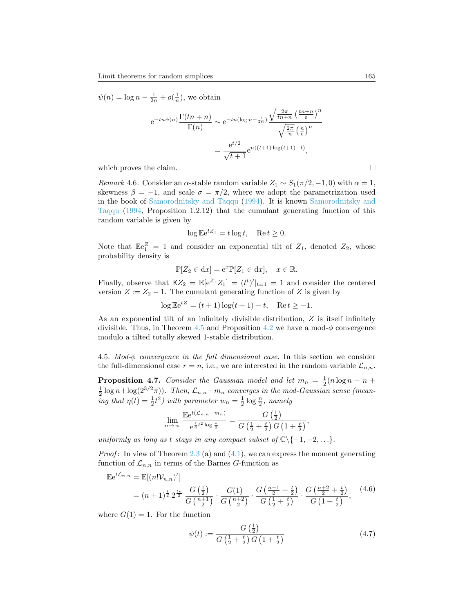$$
\psi(n) = \log n - \frac{1}{2n} + o(\frac{1}{n}), \text{ we obtain}
$$

$$
e^{-tn\psi(n)} \frac{\Gamma(tn+n)}{\Gamma(n)} \sim e^{-tn(\log n - \frac{1}{2n})} \frac{\sqrt{\frac{2\pi}{tn+n}} \left(\frac{tn+n}{e}\right)^n}{\sqrt{\frac{2\pi}{n}} \left(\frac{n}{e}\right)^n}
$$

$$
= \frac{e^{t/2}}{\sqrt{t+1}} e^{n((t+1)\log(t+1)-t)},
$$
which proves the claim.

Remark 4.6. Consider an  $\alpha$ -stable random variable  $Z_1 \sim S_1(\pi/2, -1, 0)$  with  $\alpha = 1$ , skewness  $\beta = -1$ , and scale  $\sigma = \pi/2$ , where we adopt the parametrization used in the book of [Samorodnitsky and Taqqu](#page-36-4) [\(1994\)](#page-36-4). It is known [Samorodnitsky and](#page-36-4) [Taqqu](#page-36-4) [\(1994,](#page-36-4) Proposition 1.2.12) that the cumulant generating function of this random variable is given by

$$
\log \mathbb{E}e^{tZ_1} = t \log t, \quad \text{Re}\,t \ge 0.
$$

Note that  $\mathbb{E}e_1^Z = 1$  and consider an exponential tilt of  $Z_1$ , denoted  $Z_2$ , whose probability density is

$$
\mathbb{P}[Z_2 \in \mathrm{d}x] = \mathrm{e}^x \mathbb{P}[Z_1 \in \mathrm{d}x], \quad x \in \mathbb{R}.
$$

Finally, observe that  $\mathbb{E}Z_2 = \mathbb{E}[e^{Z_1}Z_1] = (t^t)'|_{t=1} = 1$  and consider the centered version  $Z := Z_2 - 1$ . The cumulant generating function of Z is given by

$$
\log \mathbb{E}e^{tZ} = (t+1)\log(t+1) - t, \quad \text{Re}\, t \ge -1.
$$

As an exponential tilt of an infinitely divisible distribution, Z is itself infinitely divisible. Thus, in Theorem [4.5](#page-23-0) and Proposition [4.2](#page-21-3) we have a mod- $\phi$  convergence modulo a tilted totally skewed 1-stable distribution.

4.5. Mod- $\phi$  convergence in the full dimensional case. In this section we consider the full-dimensional case  $r = n$ , i.e., we are interested in the random variable  $\mathcal{L}_{n,n}$ .

<span id="page-24-1"></span>**Proposition 4.7.** Consider the Gaussian model and let  $m_n = \frac{1}{2}(n \log n - n +$  $\frac{1}{2} \log n + \log(2^{3/2}\pi)$ ). Then,  $\mathcal{L}_{n,n} - m_n$  converges in the mod-Gaussian sense (meaning that  $\eta(t) = \frac{1}{2}t^2$ ) with parameter  $w_n = \frac{1}{2} \log \frac{n}{2}$ , namely

$$
\lim_{n \to \infty} \frac{\mathbb{E}e^{t(\mathcal{L}_{n,n} - m_n)}}{e^{\frac{1}{4}t^2 \log \frac{n}{2}}} = \frac{G\left(\frac{1}{2}\right)}{G\left(\frac{1}{2} + \frac{t}{2}\right)G\left(1 + \frac{t}{2}\right)},
$$

uniformly as long as t stays in any compact subset of  $\mathbb{C}\setminus\{-1, -2, \ldots\}.$ 

*Proof*: In view of Theorem [2.3](#page-3-1) (a) and  $(4.1)$ , we can express the moment generating function of  $\mathcal{L}_{n,n}$  in terms of the Barnes G-function as

<span id="page-24-2"></span>
$$
\mathbb{E}e^{t\mathcal{L}_{n,n}} = \mathbb{E}[(n!\mathcal{V}_{n,n})^t]
$$
  
=  $(n+1)^{\frac{t}{2}} 2^{\frac{tn}{2}} \frac{G(\frac{1}{2})}{G(\frac{n+1}{2})} \cdot \frac{G(1)}{G(\frac{n+2}{2})} \cdot \frac{G(\frac{n+1}{2} + \frac{t}{2})}{G(\frac{1}{2} + \frac{t}{2})} \cdot \frac{G(\frac{n+2}{2} + \frac{t}{2})}{G(1 + \frac{t}{2})},$  (4.6)

where  $G(1) = 1$ . For the function

<span id="page-24-0"></span>
$$
\psi(t) := \frac{G\left(\frac{1}{2}\right)}{G\left(\frac{1}{2} + \frac{t}{2}\right)G\left(1 + \frac{t}{2}\right)}\tag{4.7}
$$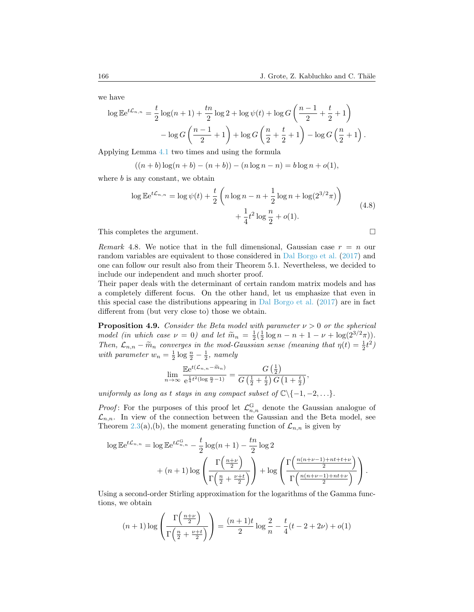we have

$$
\log \mathbb{E} e^{t\mathcal{L}_{n,n}} = \frac{t}{2} \log(n+1) + \frac{tn}{2} \log 2 + \log \psi(t) + \log G \left( \frac{n-1}{2} + \frac{t}{2} + 1 \right) - \log G \left( \frac{n-1}{2} + 1 \right) + \log G \left( \frac{n}{2} + \frac{t}{2} + 1 \right) - \log G \left( \frac{n}{2} + 1 \right).
$$

Applying Lemma [4.1](#page-20-2) two times and using the formula

$$
((n+b)\log(n+b)-(n+b)) - (n\log n - n) = b\log n + o(1),
$$

<span id="page-25-0"></span>where  $b$  is any constant, we obtain

$$
\log \mathbb{E} e^{t\mathcal{L}_{n,n}} = \log \psi(t) + \frac{t}{2} \left( n \log n - n + \frac{1}{2} \log n + \log(2^{3/2}\pi) \right) + \frac{1}{4} t^2 \log \frac{n}{2} + o(1).
$$
 (4.8)

This completes the argument.

*Remark* 4.8. We notice that in the full dimensional, Gaussian case 
$$
r = n
$$
 our random variables are equivalent to those considered in Dal Borgo et al. (2017) and one can follow our result also from their Theorem 5.1. Nevertheless, we decided to include our independent and much shorter proof.

Their paper deals with the determinant of certain random matrix models and has a completely different focus. On the other hand, let us emphasize that even in this special case the distributions appearing in [Dal Borgo et al.](#page-34-10) [\(2017\)](#page-34-10) are in fact different from (but very close to) those we obtain.

<span id="page-25-1"></span>**Proposition 4.9.** Consider the Beta model with parameter  $\nu > 0$  or the spherical model (in which case  $\nu = 0$ ) and let  $\widetilde{m}_n = \frac{1}{2}(\frac{1}{2}\log n - n + 1 - \nu + \log(2^{3/2}\pi))$ .<br>Then  $\mathcal{L}$  converges in the med Coussian sense (meaning that  $n(t) = 1/2$ ). Then,  $\mathcal{L}_{n,n} - \widetilde{m}_n$  converges in the mod-Gaussian sense (meaning that  $\eta(t) = \frac{1}{2}t^2$ ) with parameter  $w_n = \frac{1}{2} \log \frac{n}{2} - \frac{1}{2}$ , namely

$$
\lim_{n \to \infty} \frac{\mathbb{E}e^{t(\mathcal{L}_{n,n} - \tilde{m}_n)}}{e^{\frac{1}{4}t^2(\log \frac{n}{2} - 1)}} = \frac{G\left(\frac{1}{2}\right)}{G\left(\frac{1}{2} + \frac{t}{2}\right)G\left(1 + \frac{t}{2}\right)},
$$

uniformly as long as t stays in any compact subset of  $\mathbb{C}\setminus\{-1, -2, \ldots\}.$ 

*Proof*: For the purposes of this proof let  $\mathcal{L}_{n,n}^G$  denote the Gaussian analogue of  $\mathcal{L}_{n,n}$ . In view of the connection between the Gaussian and the Beta model, see Theorem [2.3\(](#page-3-1)a),(b), the moment generating function of  $\mathcal{L}_{n,n}$  is given by

$$
\log \mathbb{E} e^{t\mathcal{L}_{n,n}} = \log \mathbb{E} e^{t\mathcal{L}_{n,n}^G} - \frac{t}{2} \log(n+1) - \frac{tn}{2} \log 2 + (n+1) \log \left( \frac{\Gamma\left(\frac{n+\nu}{2}\right)}{\Gamma\left(\frac{n}{2} + \frac{\nu+t}{2}\right)} \right) + \log \left( \frac{\Gamma\left(\frac{n(n+\nu-1)+nt+t+\nu}{2}\right)}{\Gamma\left(\frac{n(n+\nu-1)+nt+t}{2}\right)} \right).
$$

Using a second-order Stirling approximation for the logarithms of the Gamma functions, we obtain

$$
(n+1)\log\left(\frac{\Gamma(\frac{n+\nu}{2})}{\Gamma(\frac{n}{2}+\frac{\nu+t}{2})}\right) = \frac{(n+1)t}{2}\log\frac{2}{n} - \frac{t}{4}(t-2+2\nu) + o(1)
$$

$$
\overline{a}
$$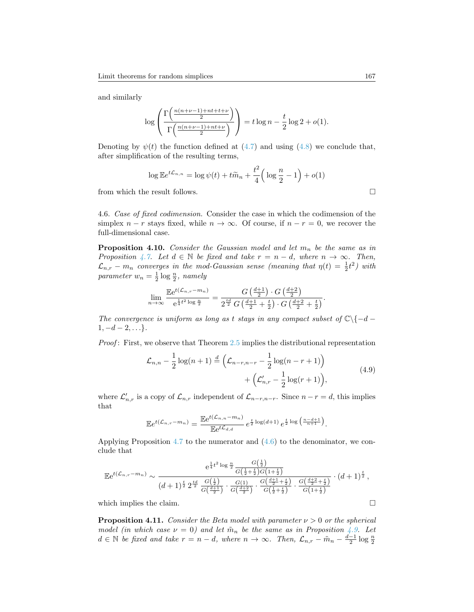and similarly

$$
\log\left(\frac{\Gamma\left(\frac{n(n+\nu-1)+nt+t+\nu}{2}\right)}{\Gamma\left(\frac{n(n+\nu-1)+nt+\nu}{2}\right)}\right) = t\log n - \frac{t}{2}\log 2 + o(1).
$$

Denoting by  $\psi(t)$  the function defined at [\(4.7\)](#page-24-0) and using [\(4.8\)](#page-25-0) we conclude that, after simplification of the resulting terms,

$$
\log \mathbb{E}e^{t\mathcal{L}_{n,n}} = \log \psi(t) + t\widetilde{m}_n + \frac{t^2}{4}\left(\log \frac{n}{2} - 1\right) + o(1)
$$

from which the result follows.  $\Box$ 

4.6. Case of fixed codimension. Consider the case in which the codimension of the simplex  $n - r$  stays fixed, while  $n \to \infty$ . Of course, if  $n - r = 0$ , we recover the full-dimensional case.

<span id="page-26-0"></span>**Proposition 4.10.** Consider the Gaussian model and let  $m_n$  be the same as in Proposition [4.7.](#page-24-1) Let  $d \in \mathbb{N}$  be fixed and take  $r = n - d$ , where  $n \to \infty$ . Then,  $\mathcal{L}_{n,r} - m_n$  converges in the mod-Gaussian sense (meaning that  $\eta(t) = \frac{1}{2}t^2$ ) with parameter  $w_n = \frac{1}{2} \log \frac{n}{2}$ , namely

$$
\lim_{n\to\infty} \frac{\mathbb{E}e^{t(\mathcal{L}_{n,r}-m_n)}}{e^{\frac{1}{4}t^2\log\frac{n}{2}}} = \frac{G\left(\frac{d+1}{2}\right)\cdot G\left(\frac{d+2}{2}\right)}{2^{\frac{td}{2}}G\left(\frac{d+1}{2}+\frac{t}{2}\right)\cdot G\left(\frac{d+2}{2}+\frac{t}{2}\right)}.
$$

The convergence is uniform as long as t stays in any compact subset of  $\mathbb{C}\backslash\{-d-\}$  $1, -d-2, \ldots$ .

<span id="page-26-1"></span>Proof: First, we observe that Theorem [2.5](#page-6-0) implies the distributional representation

$$
\mathcal{L}_{n,n} - \frac{1}{2} \log(n+1) \stackrel{d}{=} \left( \mathcal{L}_{n-r,n-r} - \frac{1}{2} \log(n-r+1) \right) + \left( \mathcal{L}'_{n,r} - \frac{1}{2} \log(r+1) \right), \tag{4.9}
$$

where  $\mathcal{L}'_{n,r}$  is a copy of  $\mathcal{L}_{n,r}$  independent of  $\mathcal{L}_{n-r,n-r}$ . Since  $n-r=d$ , this implies that

$$
\mathbb{E}e^{t(\mathcal{L}_{n,r}-m_n)} = \frac{\mathbb{E}e^{t(\mathcal{L}_{n,n}-m_n)}}{\mathbb{E}e^{t\mathcal{L}_{d,d}}} e^{\frac{t}{2}\log(d+1)} e^{\frac{t}{2}\log\left(\frac{n-d+1}{n+1}\right)}.
$$

Applying Proposition [4.7](#page-24-1) to the numerator and [\(4.6\)](#page-24-2) to the denominator, we conclude that

$$
\mathbb{E}e^{t(\mathcal{L}_{n,r}-m_n)} \sim \frac{e^{\frac{1}{4}t^2 \log \frac{n}{2}} \frac{G(\frac{1}{2})}{G(\frac{1}{2}+\frac{t}{2})G(1+\frac{t}{2})}}{(d+1)^{\frac{t}{2}} 2^{\frac{td}{2}} \frac{G(\frac{1}{2})}{G(\frac{d+1}{2})} \cdot \frac{G(1)}{G(\frac{d+2}{2})} \cdot \frac{G(\frac{d+1}{2}+\frac{t}{2})}{G(\frac{1}{2}+\frac{t}{2})} \cdot \frac{G(\frac{d+2}{2}+\frac{t}{2})}{G(1+\frac{t}{2})}} \cdot (d+1)^{\frac{t}{2}},
$$

which implies the claim.  $\Box$ 

<span id="page-26-2"></span>**Proposition 4.11.** Consider the Beta model with parameter  $\nu > 0$  or the spherical model (in which case  $\nu = 0$ ) and let  $\tilde{m}_n$  be the same as in Proposition [4.9.](#page-25-1) Let  $d \in \mathbb{N}$  be fixed and take  $r = n - d$ , where  $n \to \infty$ . Then,  $\mathcal{L}_{n,r} - \tilde{m}_n - \frac{d-1}{2} \log \frac{n}{2}$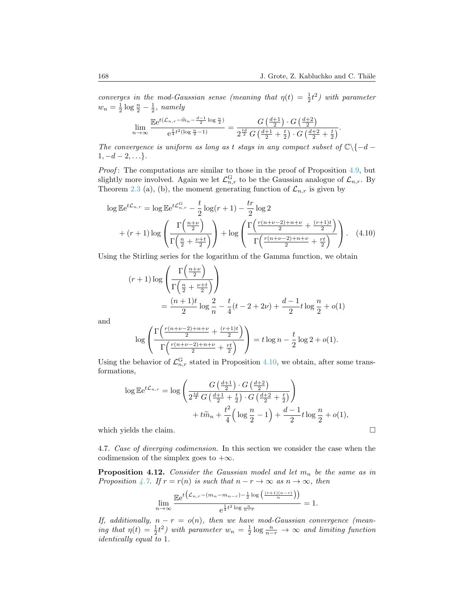converges in the mod-Gaussian sense (meaning that  $\eta(t) = \frac{1}{2}t^2$ ) with parameter  $w_n = \frac{1}{2} \log \frac{n}{2} - \frac{1}{2}$ , namely

$$
\lim_{n \to \infty} \frac{\mathbb{E}e^{t(\mathcal{L}_{n,r} - \widetilde{m}_n - \frac{d-1}{2}\log\frac{n}{2})}}{e^{\frac{1}{4}t^2(\log\frac{n}{2}-1)}} = \frac{G\left(\frac{d+1}{2}\right) \cdot G\left(\frac{d+2}{2}\right)}{2^{\frac{td}{2}}G\left(\frac{d+1}{2} + \frac{t}{2}\right) \cdot G\left(\frac{d+2}{2} + \frac{t}{2}\right)}.
$$

The convergence is uniform as long as t stays in any compact subset of  $\mathbb{C}\backslash\{-d-\}$  $1, -d-2, \ldots$ .

Proof: The computations are similar to those in the proof of Proposition [4.9,](#page-25-1) but slightly more involved. Again we let  $\mathcal{L}_{n,r}^{\mathbf{G}}$  to be the Gaussian analogue of  $\mathcal{L}_{n,r}$ . By Theorem [2.3](#page-3-1) (a), (b), the moment generating function of  $\mathcal{L}_{n,r}$  is given by

$$
\log \mathbb{E} e^{t\mathcal{L}_{n,r}} = \log \mathbb{E} e^{t\mathcal{L}_{n,r}^G} - \frac{t}{2} \log(r+1) - \frac{tr}{2} \log 2
$$
  
+ 
$$
(r+1) \log \left( \frac{\Gamma\left(\frac{n+\nu}{2}\right)}{\Gamma\left(\frac{n}{2} + \frac{\nu+t}{2}\right)} \right) + \log \left( \frac{\Gamma\left(\frac{r(n+\nu-2)+n+\nu}{2} + \frac{(r+1)t}{2}\right)}{\Gamma\left(\frac{r(n+\nu-2)+n+\nu}{2} + \frac{rt}{2}\right)} \right).
$$
 (4.10)

Using the Stirling series for the logarithm of the Gamma function, we obtain

<span id="page-27-0"></span>
$$
(r+1)\log\left(\frac{\Gamma\left(\frac{n+\nu}{2}\right)}{\Gamma\left(\frac{n}{2}+\frac{\nu+t}{2}\right)}\right)
$$
  
= 
$$
\frac{(n+1)t}{2}\log\frac{2}{n} - \frac{t}{4}(t-2+2\nu) + \frac{d-1}{2}t\log\frac{n}{2} + o(1)
$$

and

$$
\log \left( \frac{\Gamma\left(\frac{r(n+\nu-2)+n+\nu}{2} + \frac{(r+1)t}{2}\right)}{\Gamma\left(\frac{r(n+\nu-2)+n+\nu}{2} + \frac{rt}{2}\right)} \right) = t \log n - \frac{t}{2} \log 2 + o(1).
$$

Using the behavior of  $\mathcal{L}_{n,r}^{\mathbf{G}}$  stated in Proposition [4.10,](#page-26-0) we obtain, after some transformations,

$$
\log \mathbb{E} e^{t\mathcal{L}_{n,r}} = \log \left( \frac{G\left(\frac{d+1}{2}\right) \cdot G\left(\frac{d+2}{2}\right)}{2^{\frac{td}{2}} G\left(\frac{d+1}{2} + \frac{t}{2}\right) \cdot G\left(\frac{d+2}{2} + \frac{t}{2}\right)} \right) + t\widetilde{m}_n + \frac{t^2}{4} \left( \log \frac{n}{2} - 1 \right) + \frac{d-1}{2} t \log \frac{n}{2} + o(1),
$$
\nwhich yields the claim.

4.7. Case of diverging codimension. In this section we consider the case when the codimension of the simplex goes to  $+\infty$ .

<span id="page-27-1"></span>**Proposition 4.12.** Consider the Gaussian model and let  $m_n$  be the same as in Proposition [4.7.](#page-24-1) If  $r = r(n)$  is such that  $n - r \to \infty$  as  $n \to \infty$ , then

$$
\lim_{n\to\infty}\frac{\mathbb{E}\mathrm{e}^{t\left(\mathcal{L}_{n,r}-(m_n-m_{n-r})-\frac{1}{2}\log\left(\frac{(r+1)(n-r)}{n}\right)\right)}}{\mathrm{e}^{\frac{1}{4}t^2\log\frac{n}{n-r}}}=1.
$$

If, additionally,  $n - r = o(n)$ , then we have mod-Gaussian convergence (meaning that  $\eta(t) = \frac{1}{2}t^2$  with parameter  $w_n = \frac{1}{2}\log\frac{n}{n-r} \to \infty$  and limiting function identically equal to 1.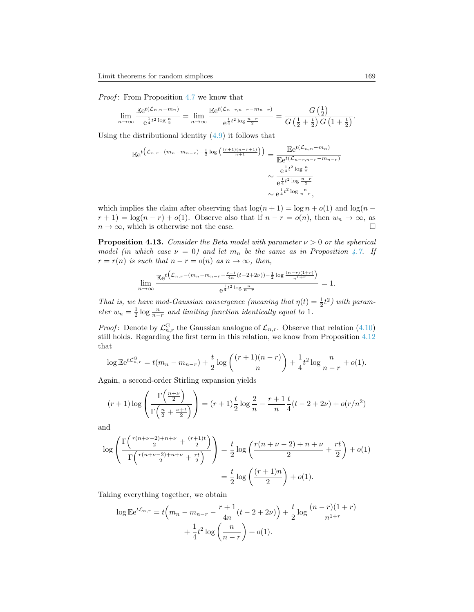Proof: From Proposition [4.7](#page-24-1) we know that

$$
\lim_{n \to \infty} \frac{\mathbb{E}e^{t(\mathcal{L}_{n,n} - m_n)}}{e^{\frac{1}{4}t^2 \log \frac{n}{2}}} = \lim_{n \to \infty} \frac{\mathbb{E}e^{t(\mathcal{L}_{n-r,n-r} - m_{n-r})}}{e^{\frac{1}{4}t^2 \log \frac{n-r}{2}}} = \frac{G\left(\frac{1}{2}\right)}{G\left(\frac{1}{2} + \frac{t}{2}\right)G\left(1 + \frac{t}{2}\right)}.
$$

Using the distributional identity  $(4.9)$  it follows that

$$
\mathbb{E}e^{t\left(\mathcal{L}_{n,r}-(m_{n}-m_{n-r})-\frac{1}{2}\log\left(\frac{(r+1)(n-r+1)}{n+1}\right)\right)} = \frac{\mathbb{E}e^{t(\mathcal{L}_{n,n}-m_{n})}}{\mathbb{E}e^{t(\mathcal{L}_{n-r,n-r}-m_{n-r})}}
$$

$$
\sim \frac{e^{\frac{1}{4}t^{2}\log\frac{n}{2}}}{e^{\frac{1}{4}t^{2}\log\frac{n-r}{n-r}}}
$$

$$
\sim e^{\frac{1}{4}t^{2}\log\frac{n}{n-r}},
$$

which implies the claim after observing that  $\log(n + 1) = \log n + o(1)$  and  $\log(n - 1)$  $r + 1$ ) = log(n - r) + o(1). Observe also that if  $n - r = o(n)$ , then  $w_n \to \infty$ , as  $n \to \infty$ , which is otherwise not the case.

<span id="page-28-0"></span>**Proposition 4.13.** Consider the Beta model with parameter  $\nu > 0$  or the spherical model (in which case  $\nu = 0$ ) and let  $m_n$  be the same as in Proposition [4.7.](#page-24-1) If  $r = r(n)$  is such that  $n - r = o(n)$  as  $n \to \infty$ , then,

$$
\lim_{n \to \infty} \frac{\mathbb{E}e^{t\left(\mathcal{L}_{n,r} - (m_n - m_{n-r} - \frac{r+1}{4n}(t-2+2\nu)) - \frac{1}{2}\log\frac{(n-r)(1+r)}{n^{1+r}}\right)}{e^{\frac{1}{4}t^2 \log\frac{n}{n-r}}} = 1.
$$

That is, we have mod-Gaussian convergence (meaning that  $\eta(t) = \frac{1}{2}t^2$ ) with parameter  $w_n = \frac{1}{2} \log \frac{n}{n-r}$  and limiting function identically equal to 1.

*Proof*: Denote by  $\mathcal{L}_{n,r}^G$  the Gaussian analogue of  $\mathcal{L}_{n,r}$ . Observe that relation [\(4.10\)](#page-27-0) still holds. Regarding the first term in this relation, we know from Proposition [4.12](#page-27-1) that

$$
\log \mathbb{E} e^{t\mathcal{L}_{n,r}^{\mathcal{G}}} = t(m_n - m_{n-r}) + \frac{t}{2} \log \left( \frac{(r+1)(n-r)}{n} \right) + \frac{1}{4} t^2 \log \frac{n}{n-r} + o(1).
$$

Again, a second-order Stirling expansion yields

 $\lambda$ 

 $\mathcal{L}$ 

$$
(r+1)\log\left(\frac{\Gamma(\frac{n+\nu}{2})}{\Gamma(\frac{n}{2}+\frac{\nu+t}{2})}\right) = (r+1)\frac{t}{2}\log\frac{2}{n} - \frac{r+1}{n}\frac{t}{4}(t-2+2\nu) + o(r/n^2)
$$

and

$$
\log \left( \frac{\Gamma\left(\frac{r(n+\nu-2)+n+\nu}{2} + \frac{(r+1)t}{2}\right)}{\Gamma\left(\frac{r(n+\nu-2)+n+\nu}{2} + \frac{rt}{2}\right)} \right) = \frac{t}{2} \log \left( \frac{r(n+\nu-2)+n+\nu}{2} + \frac{rt}{2} \right) + o(1)
$$

$$
= \frac{t}{2} \log \left( \frac{(r+1)n}{2} \right) + o(1).
$$

Taking everything together, we obtain

$$
\log \mathbb{E} e^{t\mathcal{L}_{n,r}} = t \left( m_n - m_{n-r} - \frac{r+1}{4n} (t - 2 + 2\nu) \right) + \frac{t}{2} \log \frac{(n-r)(1+r)}{n^{1+r}} + \frac{1}{4} t^2 \log \left( \frac{n}{n-r} \right) + o(1).
$$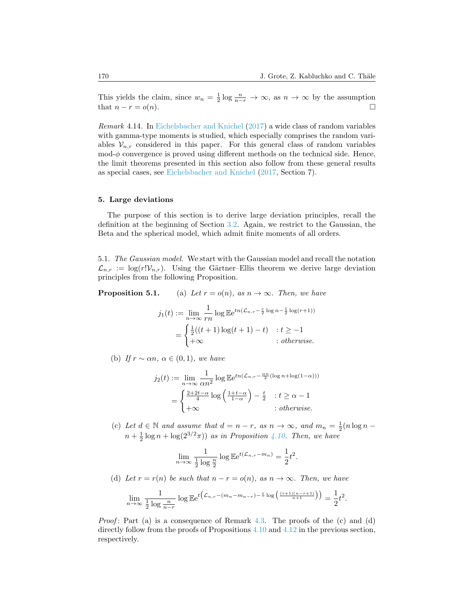This yields the claim, since  $w_n = \frac{1}{2} \log \frac{n}{n-r} \to \infty$ , as  $n \to \infty$  by the assumption that  $n - r = o(n)$ .

Remark 4.14. In [Eichelsbacher and Knichel](#page-35-19) [\(2017\)](#page-35-19) a wide class of random variables with gamma-type moments is studied, which especially comprises the random variables  $\mathcal{V}_{n,r}$  considered in this paper. For this general class of random variables  $\text{mod-}\phi$  convergence is proved using different methods on the technical side. Hence, the limit theorems presented in this section also follow from these general results as special cases, see [Eichelsbacher and Knichel](#page-35-19) [\(2017,](#page-35-19) Section 7).

# <span id="page-29-0"></span>5. Large deviations

The purpose of this section is to derive large deviation principles, recall the definition at the beginning of Section [3.2.](#page-16-1) Again, we restrict to the Gaussian, the Beta and the spherical model, which admit finite moments of all orders.

5.1. The Gaussian model. We start with the Gaussian model and recall the notation  $\mathcal{L}_{n,r} := \log(r! \mathcal{V}_{n,r})$ . Using the Gärtner–Ellis theorem we derive large deviation principles from the following Proposition.

**Proposition 5.1.** (a) Let  $r = o(n)$ , as  $n \to \infty$ . Then, we have

$$
j_1(t) := \lim_{n \to \infty} \frac{1}{rn} \log \mathbb{E} e^{tn(\mathcal{L}_{n,r} - \frac{r}{2} \log n - \frac{1}{2} \log(r+1))}
$$
  
= 
$$
\begin{cases} \frac{1}{2}((t+1)\log(t+1) - t) & : t \ge -1 \\ +\infty & : otherwise. \end{cases}
$$

(b) If  $r \sim \alpha n$ ,  $\alpha \in (0,1)$ , we have

$$
j_2(t) := \lim_{n \to \infty} \frac{1}{\alpha n^2} \log \mathbb{E} e^{tn(\mathcal{L}_{n,r} - \frac{\alpha n}{2}(\log n + \log(1-\alpha)))}
$$
  
= 
$$
\begin{cases} \frac{2+2t-\alpha}{4} \log \left( \frac{1+t-\alpha}{1-\alpha} \right) - \frac{t}{2} & : t \ge \alpha - 1 \\ +\infty & : otherwise. \end{cases}
$$

(c) Let  $d \in \mathbb{N}$  and assume that  $d = n - r$ , as  $n \to \infty$ , and  $m_n = \frac{1}{2}(n \log n$  $n + \frac{1}{2} \log n + \log(2^{3/2}\pi)$  as in Proposition [4.10.](#page-26-0) Then, we have

$$
\lim_{n \to \infty} \frac{1}{\frac{1}{2} \log \frac{n}{2}} \log \mathbb{E} e^{t(\mathcal{L}_{n,r} - m_n)} = \frac{1}{2} t^2.
$$

(d) Let  $r = r(n)$  be such that  $n - r = o(n)$ , as  $n \to \infty$ . Then, we have

$$
\lim_{n \to \infty} \frac{1}{\frac{1}{2} \log \frac{n}{n-r}} \log \mathbb{E} e^{t \left( \mathcal{L}_{n,r} - (m_n - m_{n-r}) - \frac{1}{2} \log \left( \frac{(r+1)(n-r+1)}{n+1} \right) \right)} = \frac{1}{2} t^2.
$$

*Proof*: Part (a) is a consequence of Remark [4.3.](#page-22-0) The proofs of the  $(c)$  and  $(d)$ directly follow from the proofs of Propositions [4.10](#page-26-0) and [4.12](#page-27-1) in the previous section, respectively.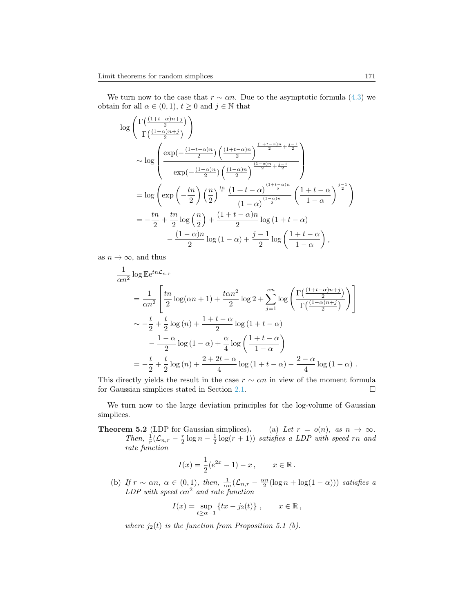We turn now to the case that  $r \sim \alpha n$ . Due to the asymptotic formula [\(4.3\)](#page-21-0) we obtain for all  $\alpha \in (0,1)$ ,  $t \geq 0$  and  $j \in \mathbb{N}$  that

$$
\begin{split} &\log\left(\frac{\Gamma\left(\frac{(1+t-\alpha)n+j}{2}\right)}{\Gamma\left(\frac{(1-\alpha)n+j}{2}\right)}\right)\\ &\sim \log\left(\frac{\exp\left(-\frac{(1+t-\alpha)n}{2}\right)\left(\frac{(1+t-\alpha)n}{2}\right)^{\frac{(1+t-\alpha)n}{2}+\frac{j-1}{2}}}{\exp\left(-\frac{(1-\alpha)n}{2}\right)\left(\frac{(1-\alpha)n}{2}\right)^{\frac{(1-\alpha)n}{2}+\frac{j-1}{2}}}\right)\\ &=\log\left(\exp\left(-\frac{tn}{2}\right)\left(\frac{n}{2}\right)^{\frac{tn}{2}}\frac{(1+t-\alpha)^{\frac{(1+t-\alpha)n}{2}}}{(1-\alpha)^{\frac{(1-\alpha)n}{2}}}\left(\frac{1+t-\alpha}{1-\alpha}\right)^{\frac{j-1}{2}}\right)\\ &=-\frac{tn}{2}+\frac{tn}{2}\log\left(\frac{n}{2}\right)+\frac{(1+t-\alpha)n}{2}\log\left(1+t-\alpha\right)\\ &-\frac{(1-\alpha)n}{2}\log\left(1-\alpha\right)+\frac{j-1}{2}\log\left(\frac{1+t-\alpha}{1-\alpha}\right), \end{split}
$$

as  $n \to \infty$ , and thus

$$
\frac{1}{\alpha n^2} \log \mathbb{E} e^{tn\mathcal{L}_{n,r}}
$$
\n
$$
= \frac{1}{\alpha n^2} \left[ \frac{tn}{2} \log(\alpha n + 1) + \frac{t\alpha n^2}{2} \log 2 + \sum_{j=1}^{\alpha n} \log \left( \frac{\Gamma\left(\frac{(1+t-\alpha)n+j}{2}\right)}{\Gamma\left(\frac{(1-\alpha)n+j}{2}\right)} \right) \right]
$$
\n
$$
\sim -\frac{t}{2} + \frac{t}{2} \log(n) + \frac{1+t-\alpha}{2} \log(1+t-\alpha)
$$
\n
$$
- \frac{1-\alpha}{2} \log(1-\alpha) + \frac{\alpha}{4} \log \left( \frac{1+t-\alpha}{1-\alpha} \right)
$$
\n
$$
= -\frac{t}{2} + \frac{t}{2} \log(n) + \frac{2+2t-\alpha}{4} \log(1+t-\alpha) - \frac{2-\alpha}{4} \log(1-\alpha) .
$$

This directly yields the result in the case  $r \sim \alpha n$  in view of the moment formula for Gaussian simplices stated in Section [2.1.](#page-2-1)  $\Box$ 

We turn now to the large deviation principles for the log-volume of Gaussian simplices.

**Theorem 5.2** (LDP for Gaussian simplices). (a) Let  $r = o(n)$ , as  $n \to \infty$ . Then,  $\frac{1}{r}(\mathcal{L}_{n,r} - \frac{r}{2}\log n - \frac{1}{2}\log(r+1))$  satisfies a LDP with speed rn and rate function

$$
I(x) = \frac{1}{2}(e^{2x} - 1) - x, \qquad x \in \mathbb{R}.
$$

(b) If  $r \sim \alpha n$ ,  $\alpha \in (0,1)$ , then,  $\frac{1}{\alpha n}(\mathcal{L}_{n,r} - \frac{\alpha n}{2}(\log n + \log(1-\alpha)))$  satisfies a  $LDP$  with speed  $\alpha n^2$  and rate function

$$
I(x) = \sup_{t \ge \alpha - 1} \{ tx - j_2(t) \}, \qquad x \in \mathbb{R},
$$

where  $j_2(t)$  is the function from Proposition 5.1 (b).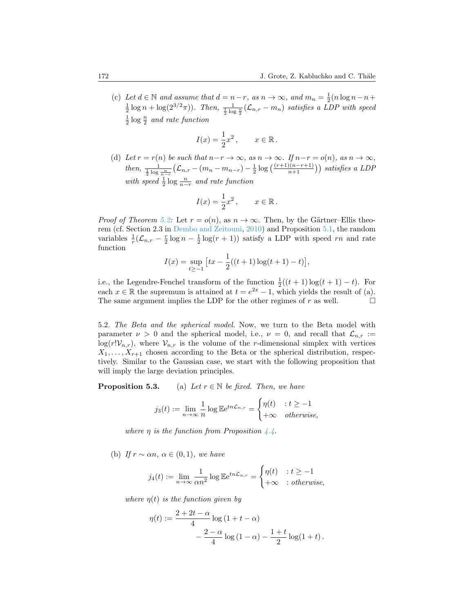(c) Let  $d \in \mathbb{N}$  and assume that  $d = n - r$ , as  $n \to \infty$ , and  $m_n = \frac{1}{2}(n \log n - n +$  $\frac{1}{2}\log n + \log(2^{3/2}\pi)$ . Then,  $\frac{1}{\frac{1}{2}\log \frac{n}{2}}(\mathcal{L}_{n,r} - m_n)$  satisfies a LDP with speed  $\frac{1}{2} \log \frac{n}{2}$  and rate function

$$
I(x) = \frac{1}{2}x^2, \qquad x \in \mathbb{R}.
$$

(d) Let  $r = r(n)$  be such that  $n-r \to \infty$ , as  $n \to \infty$ . If  $n-r = o(n)$ , as  $n \to \infty$ , then,  $\frac{1}{\frac{1}{2} \log \frac{n}{n-r}} (\mathcal{L}_{n,r} - (m_n - m_{n-r}) - \frac{1}{2} \log \left( \frac{(r+1)(n-r+1)}{n+1} \right))$  satisfies a LDP with speed  $\frac{1}{2} \log \frac{n}{n-r}$  and rate function

$$
I(x) = \frac{1}{2}x^2, \qquad x \in \mathbb{R}.
$$

*Proof of Theorem [5.2:](#page-0-0)* Let  $r = o(n)$ , as  $n \to \infty$ . Then, by the Gärtner–Ellis theorem (cf. Section 2.3 in [Dembo and Zeitouni,](#page-34-5) [2010\)](#page-34-5) and Proposition [5.1,](#page-0-0) the random variables  $\frac{1}{r}(\mathcal{L}_{n,r} - \frac{r}{2}\log(n-\frac{1}{2}\log(r+1))$  satisfy a LDP with speed rn and rate function

$$
I(x) = \sup_{t \ge -1} \left[ tx - \frac{1}{2}((t+1)\log(t+1) - t) \right],
$$

i.e., the Legendre-Fenchel transform of the function  $\frac{1}{2}((t+1)\log(t+1)-t)$ . For each  $x \in \mathbb{R}$  the supremum is attained at  $t = e^{2x} - 1$ , which yields the result of (a). The same argument implies the LDP for the other regimes of  $r$  as well.  $\Box$ 

5.2. The Beta and the spherical model. Now, we turn to the Beta model with parameter  $\nu > 0$  and the spherical model, i.e.,  $\nu = 0$ , and recall that  $\mathcal{L}_{n,r} :=$  $log(r!V_{n,r})$ , where  $V_{n,r}$  is the volume of the r-dimensional simplex with vertices  $X_1, \ldots, X_{r+1}$  chosen according to the Beta or the spherical distribution, respectively. Similar to the Gaussian case, we start with the following proposition that will imply the large deviation principles.

**Proposition 5.3.** (a) Let  $r \in \mathbb{N}$  be fixed. Then, we have

$$
j_3(t) := \lim_{n \to \infty} \frac{1}{n} \log \mathbb{E} e^{tn\mathcal{L}_{n,r}} = \begin{cases} \eta(t) & \text{if } t \ge -1 \\ +\infty & \text{otherwise,} \end{cases}
$$

where  $\eta$  is the function from Proposition [4.4.](#page-22-1)

(b) If  $r \sim \alpha n$ ,  $\alpha \in (0,1)$ , we have

$$
j_4(t) := \lim_{n \to \infty} \frac{1}{\alpha n^2} \log \mathbb{E} e^{tn\mathcal{L}_{n,r}} = \begin{cases} \eta(t) & : t \ge -1 \\ +\infty & : otherwise, \end{cases}
$$

where  $\eta(t)$  is the function given by

$$
\eta(t) := \frac{2 + 2t - \alpha}{4} \log (1 + t - \alpha)
$$

$$
- \frac{2 - \alpha}{4} \log (1 - \alpha) - \frac{1 + t}{2} \log (1 + t).
$$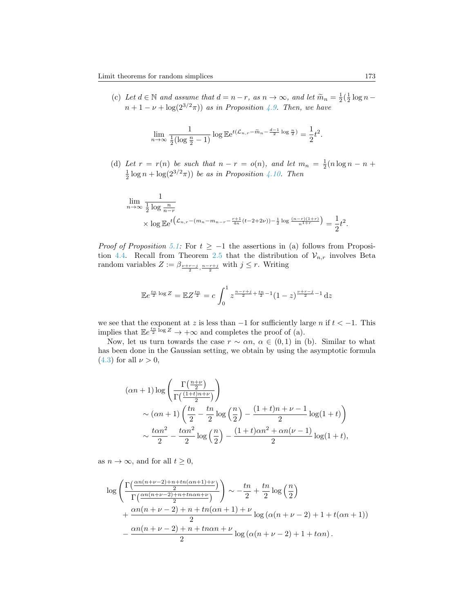(c) Let  $d \in \mathbb{N}$  and assume that  $d = n - r$ , as  $n \to \infty$ , and let  $\widetilde{m}_n = \frac{1}{2}(\frac{1}{2}\log n$  $n+1-\nu+\log(2^{3/2}\pi))$  as in Proposition [4.9.](#page-25-1) Then, we have

$$
\lim_{n \to \infty} \frac{1}{\frac{1}{2}(\log \frac{n}{2} - 1)} \log \mathbb{E} e^{t(\mathcal{L}_{n,r} - \tilde{m}_n - \frac{d-1}{2}\log \frac{n}{2})} = \frac{1}{2}t^2.
$$

(d) Let  $r = r(n)$  be such that  $n - r = o(n)$ , and let  $m_n = \frac{1}{2}(n \log n - n +$  $\frac{1}{2}\log n + \log(2^{3/2}\pi)$  be as in Proposition [4.10.](#page-26-0) Then

$$
\lim_{n \to \infty} \frac{1}{\frac{1}{2} \log \frac{n}{n-r}} \times \log \mathbb{E} e^{t \left( \mathcal{L}_{n,r} - (m_n - m_{n-r} - \frac{r+1}{4n} (t - 2 + 2\nu)) - \frac{1}{2} \log \frac{(n-r)(1+r)}{n^{1+r}} \right)} = \frac{1}{2} t^2.
$$

*Proof of Proposition [5.1:](#page-0-0)* For  $t \ge -1$  the assertions in (a) follows from Proposi-tion [4.4.](#page-22-1) Recall from Theorem [2.5](#page-6-0) that the distribution of  $\mathcal{V}_{n,r}$  involves Beta random variables  $Z := \beta_{\frac{\nu+r-j}{2}, \frac{n-r+j}{2}}$  with  $j \leq r$ . Writing

$$
\mathbb{E}e^{\frac{tn}{2}\log Z} = \mathbb{E}Z^{\frac{tn}{2}} = c \int_0^1 z^{\frac{n-r+j}{2} + \frac{tn}{2} - 1} (1 - z)^{\frac{\nu + r - j}{2} - 1} dz
$$

we see that the exponent at z is less than  $-1$  for sufficiently large n if  $t < -1$ . This implies that  $\mathbb{E}e^{\frac{tn}{2}\log Z} \to +\infty$  and completes the proof of (a).

Now, let us turn towards the case  $r \sim \alpha n$ ,  $\alpha \in (0,1)$  in (b). Similar to what has been done in the Gaussian setting, we obtain by using the asymptotic formula [\(4.3\)](#page-21-0) for all  $\nu > 0$ ,

$$
(\alpha n + 1) \log \left( \frac{\Gamma(\frac{n+\nu}{2})}{\Gamma(\frac{(1+t)n+\nu}{2})} \right)
$$
  
\$\sim (\alpha n + 1) \left( \frac{tn}{2} - \frac{tn}{2} \log\left(\frac{n}{2}\right) - \frac{(1+t)n+\nu-1}{2} \log(1+t) \right)\$  
\$\sim \frac{t\alpha n^2}{2} - \frac{t\alpha n^2}{2} \log\left(\frac{n}{2}\right) - \frac{(1+t)\alpha n^2 + \alpha n(\nu-1)}{2} \log(1+t)\$,

as  $n \to \infty$ , and for all  $t \geq 0$ ,

$$
\log\left(\frac{\Gamma\left(\frac{\alpha n(n+\nu-2)+n+tn(\alpha n+1)+\nu}{2}\right)}{\Gamma\left(\frac{\alpha n(n+\nu-2)+n+tn\alpha n+\nu}{2}\right)}\right) \sim -\frac{tn}{2} + \frac{tn}{2}\log\left(\frac{n}{2}\right) + \frac{\alpha n(n+\nu-2)+n+tn(\alpha n+1)+\nu}{2}\log\left(\alpha(n+\nu-2)+1+t(\alpha n+1)\right) - \frac{\alpha n(n+\nu-2)+n+tn\alpha n+\nu}{2}\log\left(\alpha(n+\nu-2)+1+t\alpha n\right).
$$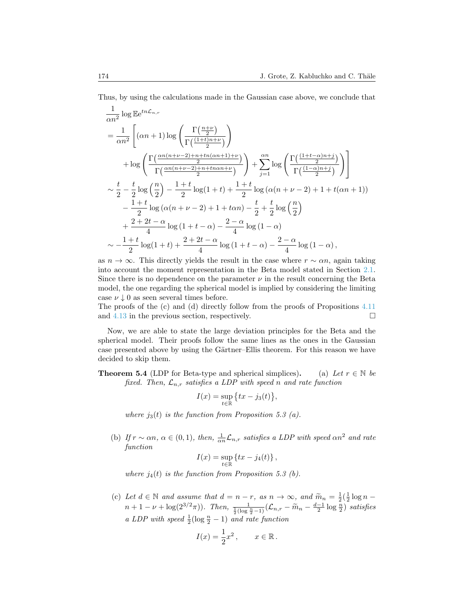Thus, by using the calculations made in the Gaussian case above, we conclude that

$$
\frac{1}{\alpha n^2} \log \mathbb{E} e^{tn\mathcal{L}_{n,r}} \n= \frac{1}{\alpha n^2} \left[ (\alpha n + 1) \log \left( \frac{\Gamma(\frac{n+\nu}{2})}{\Gamma(\frac{(1+t)n+\nu}{2})} \right) \right. \n+ \log \left( \frac{\Gamma(\frac{\alpha n(n+\nu-2)+n+tn(\alpha n+1)+\nu}{2})}{\Gamma(\frac{\alpha n(n+\nu-2)+n+tn\alpha n+\nu}{2})} \right) + \sum_{j=1}^{\alpha n} \log \left( \frac{\Gamma(\frac{(1+t-\alpha)n+j}{2})}{\Gamma(\frac{(1-\alpha)n+j}{2})} \right) \right] \n\sim \frac{t}{2} - \frac{t}{2} \log \left( \frac{n}{2} \right) - \frac{1+t}{2} \log(1+t) + \frac{1+t}{2} \log (\alpha(n+\nu-2)+1+t(\alpha n+1)) \n- \frac{1+t}{2} \log (\alpha(n+\nu-2)+1+t\alpha n) - \frac{t}{2} + \frac{t}{2} \log \left( \frac{n}{2} \right) \n+ \frac{2+2t-\alpha}{4} \log(1+t-\alpha) - \frac{2-\alpha}{4} \log(1-\alpha) \n\sim -\frac{1+t}{2} \log(1+t) + \frac{2+2t-\alpha}{4} \log(1+t-\alpha) - \frac{2-\alpha}{4} \log(1-\alpha),
$$

as  $n \to \infty$ . This directly yields the result in the case where  $r \sim \alpha n$ , again taking into account the moment representation in the Beta model stated in Section [2.1.](#page-2-1) Since there is no dependence on the parameter  $\nu$  in the result concerning the Beta model, the one regarding the spherical model is implied by considering the limiting case  $\nu \downarrow 0$  as seen several times before.

The proofs of the (c) and (d) directly follow from the proofs of Propositions [4.11](#page-26-2) and  $4.13$  in the previous section, respectively.

Now, we are able to state the large deviation principles for the Beta and the spherical model. Their proofs follow the same lines as the ones in the Gaussian case presented above by using the Gärtner–Ellis theorem. For this reason we have decided to skip them.

**Theorem 5.4** (LDP for Beta-type and spherical simplices). (a) Let  $r \in \mathbb{N}$  be fixed. Then,  $\mathcal{L}_{n,r}$  satisfies a LDP with speed n and rate function

$$
I(x) = \sup_{t \in \mathbb{R}} \left\{ tx - j_3(t) \right\},\,
$$

where  $j_3(t)$  is the function from Proposition 5.3 (a).

(b) If  $r \sim \alpha n$ ,  $\alpha \in (0,1)$ , then,  $\frac{1}{\alpha n} \mathcal{L}_{n,r}$  satisfies a LDP with speed  $\alpha n^2$  and rate function

$$
I(x) = \sup_{t \in \mathbb{R}} \left\{ tx - j_4(t) \right\},\,
$$

where  $j_4(t)$  is the function from Proposition 5.3 (b).

(c) Let  $d \in \mathbb{N}$  and assume that  $d = n - r$ , as  $n \to \infty$ , and  $\widetilde{m}_n = \frac{1}{2}(\frac{1}{2}\log n$  $n+1-\nu+\log(2^{3/2}\pi))$ . Then,  $\frac{1}{\frac{1}{2}(\log\frac{n}{2}-1)}(\mathcal{L}_{n,r}-\widetilde{m}_n-\frac{d-1}{2}\log\frac{n}{2})$  satisfies a LDP with speed  $\frac{1}{2}(\log \frac{n}{2} - 1)$  and rate function

$$
I(x) = \frac{1}{2}x^2, \qquad x \in \mathbb{R}.
$$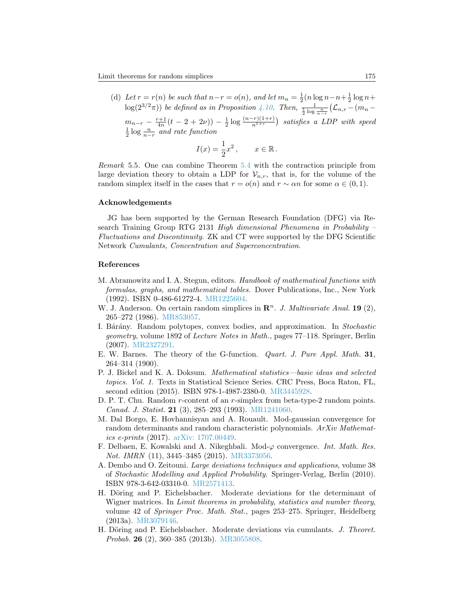(d) Let  $r = r(n)$  be such that  $n-r = o(n)$ , and let  $m_n = \frac{1}{2}(n \log n - n + \frac{1}{2} \log n +$  $log(2^{3/2}\pi))$  be defined as in Proposition [4.10.](#page-26-0) Then,  $\frac{1}{\frac{1}{2} \log \frac{n}{n-r}} (\mathcal{L}_{n,r} - (m_n$  $m_{n-r} - \frac{r+1}{4n}(t-2+2\nu)) - \frac{1}{2}\log\frac{(n-r)(1+r)}{n^{1+r}}$  satisfies a LDP with speed  $\frac{1}{2} \log \frac{n}{n-r}$  and rate function

$$
I(x) = \frac{1}{2}x^2, \qquad x \in \mathbb{R}.
$$

Remark 5.5. One can combine Theorem [5.4](#page-0-0) with the contraction principle from large deviation theory to obtain a LDP for  $\mathcal{V}_{n,r}$ , that is, for the volume of the random simplex itself in the cases that  $r = o(n)$  and  $r \sim \alpha n$  for some  $\alpha \in (0, 1)$ .

# Acknowledgements

JG has been supported by the German Research Foundation (DFG) via Research Training Group RTG 2131 High dimensional Phenomena in Probability – Fluctuations and Discontinuity. ZK and CT were supported by the DFG Scientific Network Cumulants, Concentration and Superconcentration.

#### References

- <span id="page-34-4"></span>M. Abramowitz and I. A. Stegun, editors. Handbook of mathematical functions with formulas, graphs, and mathematical tables. Dover Publications, Inc., New York (1992). ISBN 0-486-61272-4. [MR1225604.](http://www.ams.org/mathscinet-getitem?mr=MR1225604)
- <span id="page-34-1"></span>W. J. Anderson. On certain random simplices in  $\mathbb{R}^n$ . J. Multivariate Anal. 19 (2), 265–272 (1986). [MR853057.](http://www.ams.org/mathscinet-getitem?mr=MR853057)
- <span id="page-34-0"></span>I. Bárány. Random polytopes, convex bodies, and approximation. In Stochastic geometry, volume 1892 of Lecture Notes in Math., pages 77–118. Springer, Berlin (2007). [MR2327291.](http://www.ams.org/mathscinet-getitem?mr=MR2327291)
- <span id="page-34-9"></span>E. W. Barnes. The theory of the G-function. Quart. J. Pure Appl. Math. 31, 264–314 (1900).
- <span id="page-34-7"></span>P. J. Bickel and K. A. Doksum. Mathematical statistics—basic ideas and selected topics. Vol. 1. Texts in Statistical Science Series. CRC Press, Boca Raton, FL, second edition (2015). ISBN 978-1-4987-2380-0. [MR3445928.](http://www.ams.org/mathscinet-getitem?mr=MR3445928)
- <span id="page-34-2"></span>D. P. T. Chu. Random r-content of an r-simplex from beta-type-2 random points. Canad. J. Statist. 21 (3), 285–293 (1993). [MR1241060.](http://www.ams.org/mathscinet-getitem?mr=MR1241060)
- <span id="page-34-10"></span>M. Dal Borgo, E. Hovhannisyan and A. Rouault. Mod-gaussian convergence for random determinants and random characteristic polynomials. ArXiv Mathematics e-prints (2017). [arXiv: 1707.00449.](http://arxiv.org/abs/1707.00449)
- <span id="page-34-8"></span>F. Delbaen, E. Kowalski and A. Nikeghbali. Mod- $\varphi$  convergence. Int. Math. Res. Not. IMRN (11), 3445–3485 (2015). [MR3373056.](http://www.ams.org/mathscinet-getitem?mr=MR3373056)
- <span id="page-34-5"></span>A. Dembo and O. Zeitouni. Large deviations techniques and applications, volume 38 of Stochastic Modelling and Applied Probability. Springer-Verlag, Berlin (2010). ISBN 978-3-642-03310-0. [MR2571413.](http://www.ams.org/mathscinet-getitem?mr=MR2571413)
- <span id="page-34-3"></span>H. Döring and P. Eichelsbacher. Moderate deviations for the determinant of Wigner matrices. In Limit theorems in probability, statistics and number theory, volume 42 of Springer Proc. Math. Stat., pages 253–275. Springer, Heidelberg (2013a). [MR3079146.](http://www.ams.org/mathscinet-getitem?mr=MR3079146)
- <span id="page-34-6"></span>H. Döring and P. Eichelsbacher. Moderate deviations via cumulants. J. Theoret. Probab. 26 (2), 360–385 (2013b). [MR3055808.](http://www.ams.org/mathscinet-getitem?mr=MR3055808)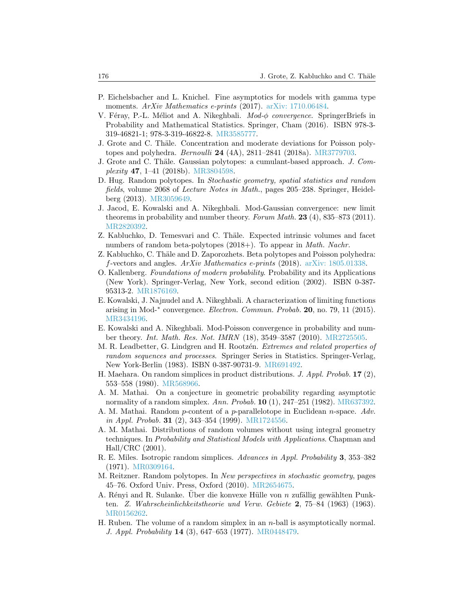- <span id="page-35-19"></span>P. Eichelsbacher and L. Knichel. Fine asymptotics for models with gamma type moments. ArXiv Mathematics e-prints (2017). [arXiv: 1710.06484.](http://arxiv.org/abs/1710.06484)
- <span id="page-35-14"></span>V. Féray, P.-L. Méliot and A. Nikeghbali.  $Mod-\phi$  convergence. SpringerBriefs in Probability and Mathematical Statistics. Springer, Cham (2016). ISBN 978-3- 319-46821-1; 978-3-319-46822-8. [MR3585777.](http://www.ams.org/mathscinet-getitem?mr=MR3585777)
- <span id="page-35-11"></span>J. Grote and C. Thäle. Concentration and moderate deviations for Poisson polytopes and polyhedra. Bernoulli 24 (4A), 2811–2841 (2018a). [MR3779703.](http://www.ams.org/mathscinet-getitem?mr=MR3779703)
- <span id="page-35-12"></span>J. Grote and C. Thäle. Gaussian polytopes: a cumulant-based approach. J. Complexity 47, 1–41 (2018b). [MR3804598.](http://www.ams.org/mathscinet-getitem?mr=MR3804598)
- <span id="page-35-0"></span>D. Hug. Random polytopes. In Stochastic geometry, spatial statistics and random fields, volume 2068 of Lecture Notes in Math., pages 205–238. Springer, Heidelberg (2013). [MR3059649.](http://www.ams.org/mathscinet-getitem?mr=MR3059649)
- <span id="page-35-15"></span>J. Jacod, E. Kowalski and A. Nikeghbali. Mod-Gaussian convergence: new limit theorems in probability and number theory. Forum Math. 23 (4), 835–873 (2011). [MR2820392.](http://www.ams.org/mathscinet-getitem?mr=MR2820392)
- <span id="page-35-10"></span>Z. Kabluchko, D. Temesvari and C. Thäle. Expected intrinsic volumes and facet numbers of random beta-polytopes (2018+). To appear in *Math. Nachr.*
- <span id="page-35-7"></span>Z. Kabluchko, C. Thäle and D. Zaporozhets. Beta polytopes and Poisson polyhedra: f-vectors and angles. ArXiv Mathematics e-prints (2018). [arXiv: 1805.01338.](http://arxiv.org/abs/1805.01338)
- <span id="page-35-13"></span>O. Kallenberg. Foundations of modern probability. Probability and its Applications (New York). Springer-Verlag, New York, second edition (2002). ISBN 0-387- 95313-2. [MR1876169.](http://www.ams.org/mathscinet-getitem?mr=MR1876169)
- <span id="page-35-16"></span>E. Kowalski, J. Najnudel and A. Nikeghbali. A characterization of limiting functions arising in Mod-\* convergence. Electron. Commun. Probab. 20, no. 79, 11 (2015). [MR3434196.](http://www.ams.org/mathscinet-getitem?mr=MR3434196)
- <span id="page-35-17"></span>E. Kowalski and A. Nikeghbali. Mod-Poisson convergence in probability and number theory. Int. Math. Res. Not. IMRN (18), 3549–3587 (2010). [MR2725505.](http://www.ams.org/mathscinet-getitem?mr=MR2725505)
- <span id="page-35-18"></span>M. R. Leadbetter, G. Lindgren and H. Rootzén. *Extremes and related properties of* random sequences and processes. Springer Series in Statistics. Springer-Verlag, New York-Berlin (1983). ISBN 0-387-90731-9. [MR691492.](http://www.ams.org/mathscinet-getitem?mr=MR691492)
- <span id="page-35-5"></span>H. Maehara. On random simplices in product distributions. J. Appl. Probab.  $17(2)$ , 553–558 (1980). [MR568966.](http://www.ams.org/mathscinet-getitem?mr=MR568966)
- <span id="page-35-4"></span>A. M. Mathai. On a conjecture in geometric probability regarding asymptotic normality of a random simplex. Ann. Probab.  $10$  (1), 247–251 (1982). [MR637392.](http://www.ams.org/mathscinet-getitem?mr=MR637392)
- <span id="page-35-8"></span>A. M. Mathai. Random p-content of a p-parallelotope in Euclidean n-space. Adv. in Appl. Probab. 31 (2), 343–354 (1999). [MR1724556.](http://www.ams.org/mathscinet-getitem?mr=MR1724556)
- <span id="page-35-9"></span>A. M. Mathai. Distributions of random volumes without using integral geometry techniques. In Probability and Statistical Models with Applications. Chapman and Hall/CRC (2001).
- <span id="page-35-6"></span>R. E. Miles. Isotropic random simplices. Advances in Appl. Probability 3, 353–382 (1971). [MR0309164.](http://www.ams.org/mathscinet-getitem?mr=MR0309164)
- <span id="page-35-1"></span>M. Reitzner. Random polytopes. In New perspectives in stochastic geometry, pages 45–76. Oxford Univ. Press, Oxford (2010). [MR2654675.](http://www.ams.org/mathscinet-getitem?mr=MR2654675)
- <span id="page-35-2"></span>A. Rényi and R. Sulanke. Uber die konvexe Hülle von  $n$  zufällig gewählten Punkten. Z. Wahrscheinlichkeitstheorie und Verw. Gebiete 2, 75–84 (1963) (1963). [MR0156262.](http://www.ams.org/mathscinet-getitem?mr=MR0156262)
- <span id="page-35-3"></span>H. Ruben. The volume of a random simplex in an n-ball is asymptotically normal. J. Appl. Probability 14 (3), 647–653 (1977). [MR0448479.](http://www.ams.org/mathscinet-getitem?mr=MR0448479)